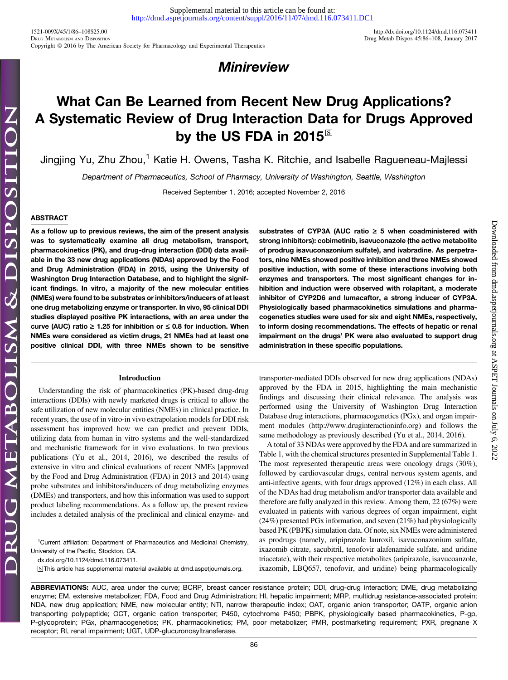Downloaded from [dmd.aspetjournals.org](http://dmd.aspetjournals.org/) at ASPET Journals on July 6, 2022

Downloaded from dmd.aspetjournals.org at ASPET Journals on July 6, 2022

# **Minireview**

# What Can Be Learned from Recent New Drug Applications? A Systematic Review of Drug Interaction Data for Drugs Approved by the US FDA in 2015 $\textdegree$

Jingjing Yu, Zhu Zhou,<sup>1</sup> Katie H. Owens, Tasha K. Ritchie, and Isabelle Ragueneau-Majlessi

Department of Pharmaceutics, School of Pharmacy, University of Washington, Seattle, Washington

Received September 1, 2016; accepted November 2, 2016

### ABSTRACT

As a follow up to previous reviews, the aim of the present analysis was to systematically examine all drug metabolism, transport, pharmacokinetics (PK), and drug-drug interaction (DDI) data available in the 33 new drug applications (NDAs) approved by the Food and Drug Administration (FDA) in 2015, using the University of Washington Drug Interaction Database, and to highlight the significant findings. In vitro, a majority of the new molecular entities (NMEs) were found to be substrates or inhibitors/inducers of at least one drug metabolizing enzyme or transporter. In vivo, 95 clinical DDI studies displayed positive PK interactions, with an area under the curve (AUC) ratio  $\geq 1.25$  for inhibition or  $\leq 0.8$  for induction. When NMEs were considered as victim drugs, 21 NMEs had at least one positive clinical DDI, with three NMEs shown to be sensitive

#### Introduction

Understanding the risk of pharmacokinetics (PK)-based drug-drug interactions (DDIs) with newly marketed drugs is critical to allow the safe utilization of new molecular entities (NMEs) in clinical practice. In recent years, the use of in vitro-in vivo extrapolation models for DDI risk assessment has improved how we can predict and prevent DDIs, utilizing data from human in vitro systems and the well-standardized and mechanistic framework for in vivo evaluations. In two previous publications (Yu et al., 2014, 2016), we described the results of extensive in vitro and clinical evaluations of recent NMEs [approved by the Food and Drug Administration (FDA) in 2013 and 2014) using probe substrates and inhibitors/inducers of drug metabolizing enzymes (DMEs) and transporters, and how this information was used to support product labeling recommendations. As a follow up, the present review includes a detailed analysis of the preclinical and clinical enzyme- and

<sup>1</sup>Current affiliation: Department of Pharmaceutics and Medicinal Chemistry, University of the Pacific, Stockton, CA.

[dx.doi.org/10.1124/dmd.116.073411.](http://dx.doi.org/10.1124/dmd.116.073411)

S This article has supplemental material available at [dmd.aspetjournals.org.](http://dmd.aspetjournals.org)

substrates of CYP3A (AUC ratio  $\geq$  5 when coadministered with strong inhibitors): cobimetinib, isavuconazole (the active metabolite of prodrug isavuconazonium sulfate), and ivabradine. As perpetrators, nine NMEs showed positive inhibition and three NMEs showed positive induction, with some of these interactions involving both enzymes and transporters. The most significant changes for inhibition and induction were observed with rolapitant, a moderate inhibitor of CYP2D6 and lumacaftor, a strong inducer of CYP3A. Physiologically based pharmacokinetics simulations and pharmacogenetics studies were used for six and eight NMEs, respectively, to inform dosing recommendations. The effects of hepatic or renal impairment on the drugs' PK were also evaluated to support drug administration in these specific populations.

transporter-mediated DDIs observed for new drug applications (NDAs) approved by the FDA in 2015, highlighting the main mechanistic findings and discussing their clinical relevance. The analysis was performed using the University of Washington Drug Interaction Database drug interactions, pharmacogenetics (PGx), and organ impairment modules (<http://www.druginteractioninfo.org>) and follows the same methodology as previously described (Yu et al., 2014, 2016).

A total of 33 NDAs were approved by the FDA and are summarized in Table 1, with the chemical structures presented in [Supplemental Table 1](http://dmd.aspetjournals.org/lookup/suppl/doi:10.1124/dmd.116.073411/-/DC1). The most represented therapeutic areas were oncology drugs (30%), followed by cardiovascular drugs, central nervous system agents, and anti-infective agents, with four drugs approved (12%) in each class. All of the NDAs had drug metabolism and/or transporter data available and therefore are fully analyzed in this review. Among them, 22 (67%) were evaluated in patients with various degrees of organ impairment, eight (24%) presented PGx information, and seven (21%) had physiologically based PK (PBPK) simulation data. Of note, six NMEs were administered as prodrugs (namely, aripiprazole lauroxil, isavuconazonium sulfate, ixazomib citrate, sacubitril, tenofovir alafenamide sulfate, and uridine triacetate), with their respective metabolites (aripirazole, isavucoanzole, ixazomib, LBQ657, tenofovir, and uridine) being pharmacologically

ABBREVIATIONS: AUC, area under the curve; BCRP, breast cancer resistance protein; DDI, drug-drug interaction; DME, drug metabolizing enzyme; EM, extensive metabolizer; FDA, Food and Drug Administration; HI, hepatic impairment; MRP, multidrug resistance-associated protein; NDA, new drug application; NME, new molecular entity; NTI, narrow therapeutic index; OAT, organic anion transporter; OATP, organic anion transporting polypeptide; OCT, organic cation transporter; P450, cytochrome P450; PBPK, physiologically based pharmacokinetics, P-gp, P-glycoprotein; PGx, pharmacogenetics; PK, pharmacokinetics; PM, poor metabolizer; PMR, postmarketing requirement; PXR, pregnane X receptor; RI, renal impairment; UGT, UDP-glucuronosyltransferase.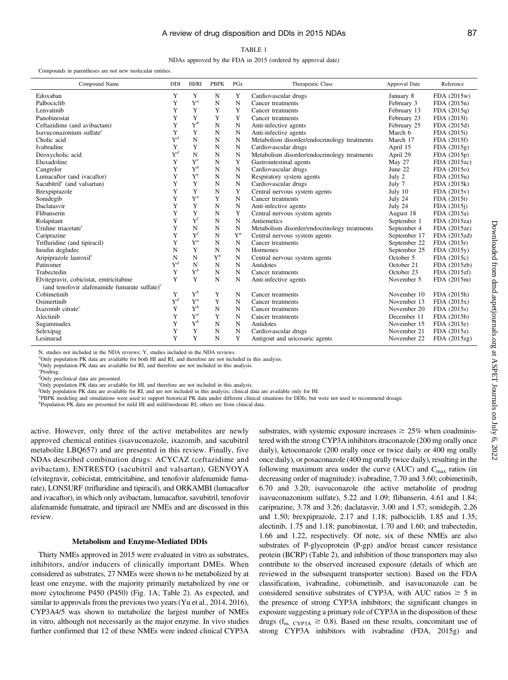#### TABLE 1

NDAs approved by the FDA in 2015 (ordered by approval date)

#### Compounds in parentheses are not new molecular entities.

| Compound Name                                        | DDI            | <b>HI/RI</b>   | <b>PBPK</b> | <b>PGx</b> | Therapeutic Class                            | Approval Date | Reference    |
|------------------------------------------------------|----------------|----------------|-------------|------------|----------------------------------------------|---------------|--------------|
| Edoxaban                                             | Y              | Y              | N           | Y          | Cardiovascular drugs                         | January 8     | FDA (2015w)  |
| Palbociclib                                          | Y              | $Y^a$          | N           | N          | Cancer treatments                            | February 3    | FDA (2015n)  |
| Lenvatinib                                           | Y              | Y              | Y           | Y          | Cancer treatments                            | February 13   | FDA (2015q)  |
| Panobinostat                                         | Y              | Y              | Y           | Y          | Cancer treatments                            | February 23   | FDA (2015l)  |
| Ceftazidime (and avibactam)                          | Y              | $\mathbf{Y}^b$ | N           | N          | Anti-infective agents                        | February 25   | FDA (2015d)  |
| Isavuconazonium sulfate <sup>c</sup>                 | Y              | Y              | N           | N          | Anti-infective agents                        | March 6       | FDA (2015i)  |
| Cholic acid                                          | $Y^d$          | N              | N           | N          | Metabolism disorder/endocrinology treatments | March 17      | FDA (2015f)  |
| Ivabradine                                           | Y              | Y              | N           | N          | Cardiovascular drugs                         | April 15      | FDA (2015g)  |
| Deoxycholic acid                                     | $Y^d$          | $\mathbf N$    | N           | N          | Metabolism disorder/endocrinology treatments | April 29      | FDA (2015p)  |
| Eluxadoline                                          | Y              | $Y^e$          | N           | Y          | Gastrointestinal agents                      | May 27        | FDA (2015zc) |
| Cangrelor                                            | Y              | $Y^b$          | N           | N          | Cardiovascular drugs                         | June 22       | FDA (2015o)  |
| Lumacaftor (and ivacaftor)                           | Y              | $Y^e$          | N           | N          | Respiratory system agents                    | July 2        | FDA (2015u)  |
| Sacubitril <sup><math>c</math></sup> (and valsartan) | Y              | Y              | N           | N          | Cardiovascular drugs                         | July 7        | FDA (2015k)  |
| Brexpiprazole                                        | Y              | Y              | N           | Y          | Central nervous system agents                | July 10       | FDA (2015v)  |
| Sonidegib                                            | Y              | $Y^a$          | Y           | N          | Cancer treatments                            | July 24       | FDA (2015t)  |
| Daclatasvir                                          | Y              | Y              | N           | N          | Anti-infective agents                        | July 24       | FDA (2015)   |
| Flibanserin                                          | Y              | Y              | N           | Y          | Central nervous system agents                | August 18     | FDA (2015a)  |
| Rolapitant                                           | Y              | $Y^f$          | N           | N          | Antiemetics                                  | September 1   | FDA (2015za) |
| Uridine triacetate $c$                               | Y              | N              | N           | N          | Metabolism disorder/endocrinology treatments | September 4   | FDA (2015ze) |
| Cariprazine                                          | Y              | $Y^f$          | N           | $Y^a$      | Central nervous system agents                | September 17  | FDA (2015zd) |
| Trifluridine (and tipiracil)                         | Y              | $Y^a$          | N           | N          | Cancer treatments                            | September 22  | FDA (2015r)  |
| Insulin degludec                                     | N              | Y              | N           | N          | Hormones                                     | September 25  | FDA (2015y)  |
| Aripiprazole lauroxil $c$                            | N              | N              | $Y^g$       | N          | Central nervous system agents                | October 5     | FDA (2015c)  |
| Patiromer                                            | $\mathbf{Y}^d$ | N              | N           | N          | Antidotes                                    | October 21    | FDA (2015zb) |
| Trabectedin                                          | Y              | $Y^b$          | N           | N          | Cancer treatments                            | October 23    | FDA (2015zf) |
| Elvitegravir, cobicistat, emtricitabine              | Y              | Y              | N           | N          | Anti-infective agents                        | November 5    | FDA (2015m)  |
| (and tenofovir alafenamide fumarate sulfate) $c$     |                |                |             |            |                                              |               |              |
| Cobimetinib                                          | Y              | $\mathrm{Y}^b$ | Y           | N          | Cancer treatments                            | November 10   | FDA (2015h)  |
| Osimertinib                                          | $Y^d$          | $Y^a$          | Y           | N          | Cancer treatments                            | November 13   | FDA (2015x)  |
| Ixazomib citrate <sup>c</sup>                        | Y              | $Y^h$          | N           | N          | Cancer treatments                            | November 20   | FDA (2015s)  |
| Alectinib                                            | Y              | $Y^a$          | Y           | N          | Cancer treatments                            | December 11   | FDA (2015b)  |
| Sugammadex                                           | Y              | $Y^b$          | N           | N          | Antidotes                                    | November 15   | FDA (2015e)  |
| Selexipag                                            | Y              | Y              | N           | N          | Cardiovascular drugs                         | November 21   | FDA (2015z)  |
| Lesinurad                                            | Y              | Y              | N           | Y          | Antigout and uricosuric agents               | November 22   | FDA (2015zg) |

N, studies not included in the NDA reviews; Y, studies included in the NDA reviews.

"Only population PK data are available for both HI and RI, and therefore are not included in this analysis.

<sup>b</sup>Only population PK data are available for RI, and therefore are not included in this analysis.

c Prodrug.

dOnly preclinical data are presented.

e Only population PK data are available for HI, and therefore are not included in this analysis.

f Only population PK data are available for RI, and are not included in this analysis; clinical data are available only for HI.

<sup>g</sup>PBPK modeling and simulations were used to support historical PK data under different clinical situations for DDIs, but were not used to recommend dosage.

 ${}^h$ Population PK data are presented for mild HI and mild/moderate RI; others are from clinical data.

active. However, only three of the active metabolites are newly approved chemical entities (isavuconazole, ixazomib, and sacubitril metabolite LBQ657) and are presented in this review. Finally, five NDAs described combination drugs: ACYCAZ (ceftazidime and avibactam), ENTRESTO (sacubitril and valsartan), GENVOYA (elvitegravir, cobicistat, emtricitabine, and tenofovir alafenamide fumarate), LONSURF (trifluridine and tipiracil), and ORKAMBI (lumacaftor and ivacaftor), in which only avibactam, lumacaftor, savubitril, tenofovir alafenamide fumatrate, and tipiracil are NMEs and are discussed in this review.

#### Metabolism and Enzyme-Mediated DDIs

Thirty NMEs approved in 2015 were evaluated in vitro as substrates, inhibitors, and/or inducers of clinically important DMEs. When considered as substrates, 27 NMEs were shown to be metabolized by at least one enzyme, with the majority primarily metabolized by one or more cytochrome P450 (P450) (Fig. 1A; Table 2). As expected, and similar to approvals from the previous two years (Yu et al., 2014, 2016), CYP3A4/5 was shown to metabolize the largest number of NMEs in vitro, although not necessarily as the major enzyme. In vivo studies further confirmed that 12 of these NMEs were indeed clinical CYP3A substrates, with systemic exposure increases  $\geq 25\%$  when coadministered with the strong CYP3A inhibitors itraconazole (200 mg orally once daily), ketoconazole (200 orally once or twice daily or 400 mg orally once daily), or posaconazole (400 mg orally twice daily), resulting in the following maximum area under the curve (AUC) and  $C_{\text{max}}$  ratios (in decreasing order of magnitude): ivabradine, 7.70 and 3.60; cobimetinib, 6.70 and 3.20; isavuconazole (the active metabolite of prodrug isavuconazonium sulfate), 5.22 and 1.09; flibanserin, 4.61 and 1.84; cariprazine, 3.78 and 3.26; daclatasvir, 3.00 and 1.57; sonidegib, 2.26 and 1.50; brexpiprazole, 2.17 and 1.18; palbociclib, 1.85 and 1.35; alectinib, 1.75 and 1.18; panobinostat, 1.70 and 1.60; and trabectedin, 1.66 and 1.22, respectively. Of note, six of these NMEs are also substrates of P-glycoprotein (P-gp) and/or breast cancer resistance protein (BCRP) (Table 2), and inhibition of those transporters may also contribute to the observed increased exposure (details of which are reviewed in the subsequent transporter section). Based on the FDA classification, ivabradine, cobimetinib, and isavuconazole can be considered sensitive substrates of CYP3A, with AUC ratios  $\geq$  5 in the presence of strong CYP3A inhibitors; the significant changes in exposure suggesting a primary role of CYP3A in the disposition of these drugs ( $f_{\text{m, CYP3A}} \ge 0.8$ ). Based on these results, concomitant use of strong CYP3A inhibitors with ivabradine (FDA, 2015g) and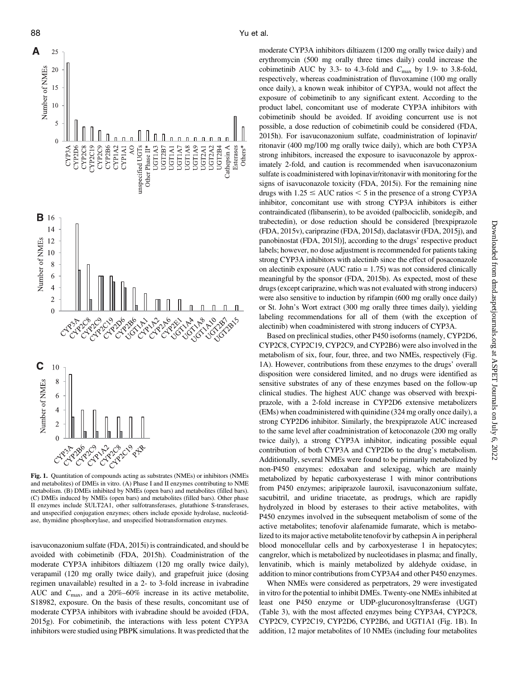

Fig. 1. Quantitation of compounds acting as substrates (NMEs) or inhibitors (NMEs and metabolites) of DMEs in vitro. (A) Phase I and II enzymes contributing to NME metabolism. (B) DMEs inhibited by NMEs (open bars) and metabolites (filled bars). (C) DMEs induced by NMEs (open bars) and metabolites (filled bars). Other phase II enzymes include SULT2A1, other sulfotransferases, glutathione S-transferases, and unspecified conjugation enzymes; others include epoxide hydrolase, nucleotidase, thymidine phosphorylase, and unspecified biotransformation enzymes.

isavuconazonium sulfate (FDA, 2015i) is contraindicated, and should be avoided with cobimetinib (FDA, 2015h). Coadministration of the moderate CYP3A inhibitors diltiazem (120 mg orally twice daily), verapamil (120 mg orally twice daily), and grapefruit juice (dosing regimen unavailable) resulted in a 2- to 3-fold increase in ivabradine AUC and  $C_{\text{max}}$ , and a 20%–60% increase in its active metabolite, S18982, exposure. On the basis of these results, concomitant use of moderate CYP3A inhibitors with ivabradine should be avoided (FDA, 2015g). For cobimetinib, the interactions with less potent CYP3A inhibitors were studied using PBPK simulations. It was predicted that the

moderate CYP3A inhibitors diltiazem (1200 mg orally twice daily) and erythromycin (500 mg orally three times daily) could increase the cobimetinib AUC by 3.3- to 4.3-fold and  $C_{\text{max}}$  by 1.9- to 3.8-fold, respectively, whereas coadministration of fluvoxamine (100 mg orally once daily), a known weak inhibitor of CYP3A, would not affect the exposure of cobimetinib to any significant extent. According to the product label, concomitant use of moderate CYP3A inhibitors with cobimetinib should be avoided. If avoiding concurrent use is not possible, a dose reduction of cobimetinib could be considered (FDA, 2015h). For isavuconazonium sulfate, coadministration of lopinavir/ ritonavir (400 mg/100 mg orally twice daily), which are both CYP3A strong inhibitors, increased the exposure to isavuconazole by approximately 2-fold, and caution is recommended when isavuconazonium sulfate is coadministered with lopinavir/ritonavir with monitoring for the signs of isavuconazole toxicity (FDA, 2015i). For the remaining nine drugs with  $1.25 \leq AUC$  ratios  $< 5$  in the presence of a strong CYP3A inhibitor, concomitant use with strong CYP3A inhibitors is either contraindicated (flibanserin), to be avoided (palbociclib, sonidegib, and trabectedin), or dose reduction should be considered [brexpiprazole (FDA, 2015v), cariprazine (FDA, 2015d), daclatasvir (FDA, 2015j), and panobinostat (FDA, 2015l)], according to the drugs' respective product labels; however, no dose adjustment is recommended for patients taking strong CYP3A inhibitors with alectinib since the effect of posaconazole on alectinib exposure (AUC ratio  $= 1.75$ ) was not considered clinically meaningful by the sponsor (FDA, 2015b). As expected, most of these drugs (except cariprazine, which was not evaluated with strong inducers) were also sensitive to induction by rifampin (600 mg orally once daily) or St. John's Wort extract (300 mg orally three times daily), yielding labeling recommendations for all of them (with the exception of alectinib) when coadministered with strong inducers of CYP3A.

Based on preclinical studies, other P450 isoforms (namely, CYP2D6, CYP2C8, CYP2C19, CYP2C9, and CYP2B6) were also involved in the metabolism of six, four, four, three, and two NMEs, respectively (Fig. 1A). However, contributions from these enzymes to the drugs' overall disposition were considered limited, and no drugs were identified as sensitive substrates of any of these enzymes based on the follow-up clinical studies. The highest AUC change was observed with brexpiprazole, with a 2-fold increase in CYP2D6 extensive metabolizers (EMs) when coadministered with quinidine (324 mg orally once daily), a strong CYP2D6 inhibitor. Similarly, the brexpiprazole AUC increased to the same level after coadministration of ketoconazole (200 mg orally twice daily), a strong CYP3A inhibitor, indicating possible equal contribution of both CYP3A and CYP2D6 to the drug's metabolism. Additionally, several NMEs were found to be primarily metabolized by non-P450 enzymes: edoxaban and selexipag, which are mainly metabolized by hepatic carboxyesterase 1 with minor contributions from P450 enzymes; aripiprazole lauroxil, isavuconazonium sulfate, sacubitril, and uridine triacetate, as prodrugs, which are rapidly hydrolyzed in blood by esterases to their active metabolites, with P450 enzymes involved in the subsequent metabolism of some of the active metabolites; tenofovir alafenamide fumarate, which is metabolized to its major active metabolite tenofovir by cathepsin A in peripheral blood monocellular cells and by carboxyesterase 1 in hepatocytes; cangrelor, which is metabolized by nucleotidases in plasma; and finally, lenvatinib, which is mainly metabolized by aldehyde oxidase, in addition to minor contributions from CYP3A4 and other P450 enzymes.

When NMEs were considered as perpetrators, 29 were investigated in vitro for the potential to inhibit DMEs. Twenty-one NMEs inhibited at least one P450 enzyme or UDP-glucuronosyltransferase (UGT) (Table 3), with the most affected enzymes being CYP3A4, CYP2C8, CYP2C9, CYP2C19, CYP2D6, CYP2B6, and UGT1A1 (Fig. 1B). In addition, 12 major metabolites of 10 NMEs (including four metabolites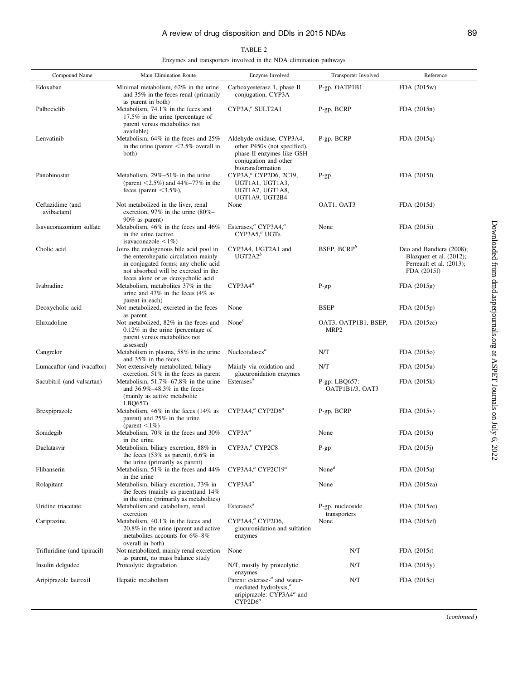#### TABLE 2

Enzymes and transporters involved in the NDA elimination pathways

| Compound Name                  | Main Elimination Route                                                                                                                                                                               | Enzyme Involved                                                                                                                              | Transporter Involved                     | Reference                                                                                      |
|--------------------------------|------------------------------------------------------------------------------------------------------------------------------------------------------------------------------------------------------|----------------------------------------------------------------------------------------------------------------------------------------------|------------------------------------------|------------------------------------------------------------------------------------------------|
| Edoxaban                       | Minimal metabolism, 62% in the urine<br>and 35% in the feces renal (primarily                                                                                                                        | Carboxyesterase 1, phase II<br>conjugation, CYP3A                                                                                            | P-gp, OATP1B1                            | FDA (2015w)                                                                                    |
| Palbociclib                    | as parent in both)<br>Metabolism, 74.1% in the feces and<br>$17.5\%$ in the urine (percentage of<br>parent versus metabolites not<br>available)                                                      | CYP3A, <sup>a</sup> SULT2A1                                                                                                                  | P-gp, BCRP                               | FDA (2015n)                                                                                    |
| Lenvatinib                     | Metabolism, $64\%$ in the feces and $25\%$<br>in the urine (parent $\leq$ 2.5% overall in<br>both)                                                                                                   | Aldehyde oxidase, CYP3A4,<br>other P450s (not specified),<br>phase II enzymes like GSH<br>conjugation and other<br>biotransformation         | P-gp, BCRP                               | FDA(2015q)                                                                                     |
| Panobinostat                   | Metabolism, $29\% - 51\%$ in the urine<br>(parent $\leq 2.5\%$ ) and 44%–77% in the<br>feces (parent $\leq 3.5\%$ ),                                                                                 | CYP3A, <sup>a</sup> CYP2D6, 2C19,<br>UGT1A1, UGT1A3,<br>UGT1A7, UGT1A8,<br>UGT1A9, UGT2B4                                                    | $P$ -gp                                  | FDA (20151)                                                                                    |
| Ceftazidime (and<br>avibactam) | Not metabolized in the liver, renal<br>excretion, 97% in the urine $(80\% -$<br>$90\%$ as parent)                                                                                                    | None                                                                                                                                         | OAT1, OAT3                               | FDA (2015d)                                                                                    |
| Isavuconazonium sulfate        | Metabolism, 46% in the feces and 46%<br>in the urine (active<br>isavaconazole $\leq 1\%$                                                                                                             | Esterases, <sup>a</sup> CYP3A4, <sup>a</sup><br>CYP3A5 <sup>a</sup> UGTs                                                                     | None                                     | FDA (2015i)                                                                                    |
| Cholic acid                    | Joins the endogenous bile acid pool in<br>the enterohepatic circulation mainly<br>in conjugated forms; any cholic acid<br>not absorbed will be excreted in the<br>feces alone or as deoxycholic acid | CYP3A4, UGT2A1 and<br>$UGT2A2^b$                                                                                                             | BSEP, BCRP <sup>b</sup>                  | Deo and Bandiera (2008);<br>Blazquez et al. (2012);<br>Perreault et al. (2013);<br>FDA (2015f) |
| Ivabradine                     | Metabolism, metabolites 37% in the<br>urine and $47\%$ in the feces $(4\%$ as<br>parent in each)                                                                                                     | $CYP3A4^a$                                                                                                                                   | $P$ -gp                                  | FDA (2015g)                                                                                    |
| Deoxycholic acid               | Not metabolized, excreted in the feces                                                                                                                                                               | None                                                                                                                                         | <b>BSEP</b>                              | FDA (2015p)                                                                                    |
| Eluxadoline                    | as parent<br>Not metabolized, 82% in the feces and<br>$0.12\%$ in the urine (percentage of<br>parent versus metabolites not<br>assessed)                                                             | None $^c$                                                                                                                                    | OAT3, OATP1B1, BSEP,<br>MRP <sub>2</sub> | FDA (2015zc)                                                                                   |
| Cangrelor                      | Metabolism in plasma, 58% in the urine<br>and 35% in the feces                                                                                                                                       | Nucleotidases <sup>a</sup>                                                                                                                   | N/T                                      | FDA (2015o)                                                                                    |
| Lumacaftor (and ivacaftor)     | Not extensively metabolized, biliary<br>excretion, $51\%$ in the feces as parent                                                                                                                     | Mainly via oxidation and<br>glucuronidation enzymes                                                                                          | N/T                                      | FDA (2015u)                                                                                    |
| Sacubitril (and valsartan)     | Metabolism, $51.7\%$ –67.8% in the urine<br>and $36.9\% - 48.3\%$ in the feces<br>(mainly as active metabolite)<br>LBQ657                                                                            | Esterases <sup>a</sup>                                                                                                                       | $P$ -gp; LBQ657:<br>OATP1B1/3, OAT3      | FDA (2015k)                                                                                    |
| Brexpiprazole                  | Metabolism, $46\%$ in the feces ( $14\%$ as<br>parent) and 25% in the urine<br>(parent $\leq 1\%$ )                                                                                                  | CYP3A4, <sup>a</sup> CYP2D6 <sup>a</sup>                                                                                                     | P-gp, BCRP                               | FDA(2015v)                                                                                     |
| Sonidegib                      | Metabolism, 70% in the feces and 30%<br>in the urine                                                                                                                                                 | $CYP3A^a$                                                                                                                                    | None                                     | FDA (2015t)                                                                                    |
| Daclatasvir                    | Metabolism, biliary excretion, 88% in<br>the feces $(53\%$ as parent), $6.6\%$ in<br>the urine (primarily as parent)                                                                                 | CYP3A, <sup>a</sup> CYP2C8                                                                                                                   | $P$ -gp                                  | FDA (2015)                                                                                     |
| Flibanserin                    | Metabolism, 51% in the feces and 44%<br>in the urine                                                                                                                                                 | CYP3A4, <sup>a</sup> CYP2C19 <sup>a</sup>                                                                                                    | None <sup><math>d</math></sup>           | FDA (2015a)                                                                                    |
| Rolapitant                     | Metabolism, biliary excretion, 73% in<br>the feces (mainly as parent) and $14\%$<br>in the urine (primarily as metabolites)                                                                          | $CYP3A4^a$                                                                                                                                   | None                                     | FDA (2015za)                                                                                   |
| Uridine triacetate             | Metabolism and catabolism, renal<br>excretion                                                                                                                                                        | Esterases <sup>a</sup>                                                                                                                       | P-gp, nucleoside<br>transporters         | FDA (2015ze)                                                                                   |
| Cariprazine                    | Metabolism, 40.1% in the feces and<br>20.8% in the urine (parent and active<br>metabolities accounts for $6\% - 8\%$<br>overall in both)                                                             | CYP3A4,ª CYP2D6,<br>glucuronidation and sulfation<br>enzymes                                                                                 | None                                     | FDA (2015zf)                                                                                   |
| Trifluridine (and tipiracil)   | Not metabolized, mainly renal excretion<br>as parent, no mass balance study                                                                                                                          | None                                                                                                                                         | N/T                                      | FDA (2015r)                                                                                    |
| Insulin delgudec               | Proteolytic degradation                                                                                                                                                                              | N/T, mostly by proteolytic<br>enzymes                                                                                                        | N/T                                      | FDA (2015y)                                                                                    |
| Aripiprazole lauroxil          | Hepatic metabolism                                                                                                                                                                                   | Parent: esterase- <sup>a</sup> and water-<br>mediated hydrolysis, <sup><i>a</i></sup><br>aripiprazole: CYP3A4 <sup>a</sup> and<br>$CYP2D6^a$ | N/T                                      | FDA (2015c)                                                                                    |

(continued )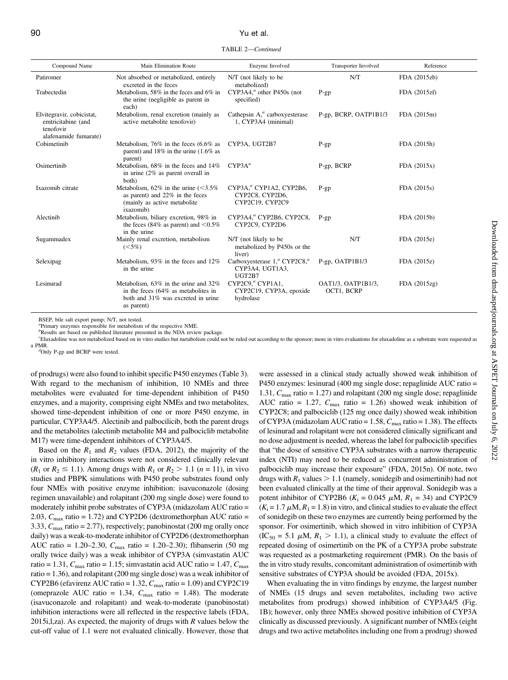#### 90 Yu et al.

TABLE 2—Continued

| Compound Name                                                                         | Main Elimination Route                                                                                                             | Enzyme Involved                                                             | Transporter Involved             | Reference    |
|---------------------------------------------------------------------------------------|------------------------------------------------------------------------------------------------------------------------------------|-----------------------------------------------------------------------------|----------------------------------|--------------|
| Patiromer                                                                             | Not absorbed or metabolized, entirely<br>excreted in the feces                                                                     | N/T (not likely to be<br>metabolized)                                       | N/T                              | FDA (2015zb) |
| Trabectedin                                                                           | Metabolism, 58% in the feces and 6% in<br>the urine (negligible as parent in<br>each)                                              | $CYP3A4$ , <sup><i>a</i></sup> other P450s (not<br>specified)               | $P-gp$                           | FDA (2015zf) |
| Elvitegravir, cobicistat,<br>emtricitabine (and<br>tenofovir<br>alafenamide fumarate) | Metabolism, renal excretion (mainly as<br>active metabolite tenofovir)                                                             | Cathepsin $A1a$ carboxyesterase<br>1, CYP3A4 (minimal)                      | P-gp, BCRP, OATP1B1/3            | FDA (2015m)  |
| Cobimetinib                                                                           | Metabolism, $76\%$ in the feces $(6.6\%$ as<br>parent) and $18\%$ in the urine (1.6% as<br>parent)                                 | CYP3A, UGT2B7                                                               | $P-gp$                           | FDA (2015h)  |
| Osimertinib                                                                           | Metabolism, 68% in the feces and 14%<br>in urine $(2\%$ as parent overall in<br>both)                                              | CYP3A <sup>a</sup>                                                          | P-gp, BCRP                       | FDA(2015x)   |
| Ixazomib citrate                                                                      | Metabolism, $62\%$ in the urine (<3.5%)<br>as parent) and 22% in the feces<br>(mainly as active metabolite<br>ixazomib)            | CYP3A, <sup>a</sup> CYP1A2, CYP2B6,<br>CYP2C8, CYP2D6,<br>CYP2C19. CYP2C9   | $P-gp$                           | FDA (2015s)  |
| Alectinib                                                                             | Metabolism, biliary excretion, 98% in<br>the feces (84% as parent) and $\leq 0.5\%$<br>in the urine                                | CYP3A4, <sup>a</sup> CYP2B6, CYP2C8,<br>CYP2C9, CYP2D6                      | $P$ -gp                          | FDA (2015b)  |
| Sugammadex                                                                            | Mainly renal excretion, metabolism<br>$(< 5\%)$                                                                                    | N/T (not likely to be<br>metabolized by P450s or the<br>liver)              | N/T                              | FDA (2015e)  |
| Selexipag                                                                             | Metabolism, 93% in the feces and 12%<br>in the urine                                                                               | Carboxyesterase $1,^a$ CYP2C8, $^a$<br>CYP3A4, UGT1A3,<br>UGT2B7            | $P-gp$ , OATP1B1/3               | FDA (2015z)  |
| Lesinurad                                                                             | Metabolism, 63% in the urine and 32%<br>in the feces $(64\%$ as metabolites in<br>both and 31% was excreted in urine<br>as parent) | CYP2C9. <sup><i>a</i></sup> CYP1A1,<br>CYP2C19, CYP3A, epoxide<br>hydrolase | OAT1/3, OATP1B1/3,<br>OCT1, BCRP | FDA(2015zg)  |

BSEP, bile salt export pump; N/T, not tested.

a Primary enzymes responsible for metabolism of the respective NME.

<sup>b</sup>Results are based on published literature presented in the NDA review package.

c Eluxadoline was not metabolized based on in vitro studies but metabolism could not be ruled out according to the sponsor; more in vitro evaluations for eluxadoline as a substrate were requested as a PMR.

 ${}^d$ Only P-gp and BCRP were tested.

of prodrugs) were also found to inhibit specific P450 enzymes (Table 3). With regard to the mechanism of inhibition, 10 NMEs and three metabolites were evaluated for time-dependent inhibition of P450 enzymes, and a majority, comprising eight NMEs and two metabolites, showed time-dependent inhibition of one or more P450 enzyme, in particular, CYP3A4/5. Alectinib and palbocilicib, both the parent drugs and the metabolites (alectinib metabolite M4 and palbociclib metabolite M17) were time-dependent inhibitors of CYP3A4/5.

Based on the  $R_1$  and  $R_2$  values (FDA, 2012), the majority of the in vitro inhibitory interactions were not considered clinically relevant  $(R_1 \text{ or } R_2 \le 1.1)$ . Among drugs with  $R_1 \text{ or } R_2 > 1.1$   $(n = 11)$ , in vivo studies and PBPK simulations with P450 probe substrates found only four NMEs with positive enzyme inhibition: isavuconazole (dosing regimen unavailable) and rolapitant (200 mg single dose) were found to moderately inhibit probe substrates of CYP3A (midazolam AUC ratio = 2.03,  $C_{\text{max}}$  ratio = 1.72) and CYP2D6 (dextromethorphan AUC ratio = 3.33,  $C_{\text{max}}$  ratio = 2.77), respectively; panobinostat (200 mg orally once daily) was a weak-to-moderate inhibitor of CYP2D6 (dextromethorphan AUC ratio = 1.20–2.30,  $C_{\text{max}}$  ratio = 1.20–2.30); flibanserin (50 mg orally twice daily) was a weak inhibitor of CYP3A (simvastatin AUC ratio = 1.31,  $C_{\text{max}}$  ratio = 1.15; simvastatin acid AUC ratio = 1.47,  $C_{\text{max}}$ ratio = 1.36), and rolapitant (200 mg single dose) was a weak inhibitor of CYP2B6 (efavirenz AUC ratio = 1.32,  $C_{\text{max}}$  ratio = 1.09) and CYP2C19 (omeprazole AUC ratio = 1.34,  $C_{\text{max}}$  ratio = 1.48). The moderate (isavuconazole and rolapitant) and weak-to-moderate (panobinostat) inhibition interactions were all reflected in the respective labels (FDA, 2015i,l,za). As expected, the majority of drugs with  $R$  values below the cut-off value of 1.1 were not evaluated clinically. However, those that were assessed in a clinical study actually showed weak inhibition of P450 enzymes: lesinurad (400 mg single dose; repaglinide AUC ratio = 1.31,  $C_{\text{max}}$  ratio = 1.27) and rolapitant (200 mg single dose; repaglinide AUC ratio = 1.27,  $C_{\text{max}}$  ratio = 1.26) showed weak inhibition of CYP2C8; and palbociclib (125 mg once daily) showed weak inhibition of CYP3A (midazolam AUC ratio = 1.58,  $C_{\text{max}}$  ratio = 1.38). The effects of lesinurad and rolapitant were not considered clinically significant and no dose adjustment is needed, whereas the label for palbociclib specifies that "the dose of sensitive CYP3A substrates with a narrow therapeutic index (NTI) may need to be reduced as concurrent administration of palbociclib may increase their exposure" (FDA, 2015n). Of note, two drugs with  $R_1$  values  $> 1.1$  (namely, sonidegib and osimertinib) had not been evaluated clinically at the time of their approval. Sonidegib was a potent inhibitor of CYP2B6 ( $K_i = 0.045 \mu M$ ,  $R_1 = 34$ ) and CYP2C9  $(K_i = 1.7 \mu M, R_1 = 1.8)$  in vitro, and clinical studies to evaluate the effect of sonidegib on these two enzymes are currently being performed by the sponsor. For osimertinib, which showed in vitro inhibition of CYP3A  $(IC_{50} = 5.1 \mu M, R_1 > 1.1)$ , a clinical study to evaluate the effect of repeated dosing of osimertinib on the PK of a CYP3A probe substrate was requested as a postmarketing requirement (PMR). On the basis of the in vitro study results, concomitant administration of osimertinib with sensitive substrates of CYP3A should be avoided (FDA, 2015x).

When evaluating the in vitro findings by enzyme, the largest number of NMEs (15 drugs and seven metabolites, including two active metabolites from prodrugs) showed inhibition of CYP3A4/5 (Fig. 1B); however, only three NMEs showed positive inhibition of CYP3A clinically as discussed previously. A significant number of NMEs (eight drugs and two active metabolites including one from a prodrug) showed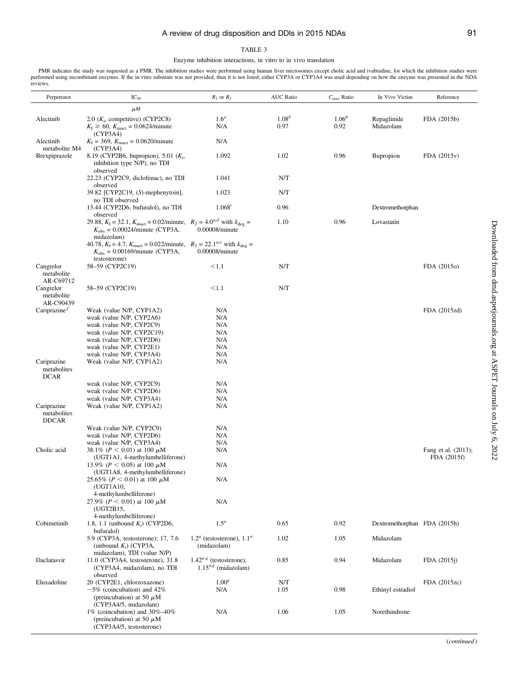#### TABLE 3

Enzyme inhibition interactions, in vitro to in vivo translation

PMR indicates the study was requested as a PMR. The inhibition studies were performed using human liver microsomes except cholic acid and ivabradine, for which the inhibition studies were performed using recombinant enzymes. If the in vitro substrate was not provided, then it is not listed; either CYP3A or CYP3A4 was used depending on how the enzyme was presented in the NDA reviews.

| Perpetrator                                | $IC_{50}$                                                                                                                                                                       | $R_1$ or $R_2$                                           | <b>AUC Ratio</b>   | $C_{\text{max}}$ Ratio | In Vivo Victim               | Reference                          |
|--------------------------------------------|---------------------------------------------------------------------------------------------------------------------------------------------------------------------------------|----------------------------------------------------------|--------------------|------------------------|------------------------------|------------------------------------|
|                                            | $\mu$ <i>M</i>                                                                                                                                                                  |                                                          |                    |                        |                              |                                    |
| Alectinib                                  | 2.0 $(K_i,$ competitive) (CYP2C8)<br>$K_{\rm I} \ge 60$ , $K_{\rm inact} = 0.0624$ /minute<br>(CYP3A4)                                                                          | 1.6 <sup>a</sup><br>N/A                                  | $1.08^{b}$<br>0.97 | $1.06^{b}$<br>0.92     | Repaglinide<br>Midazolam     | FDA (2015b)                        |
| Alectinib                                  | $K_{\rm I} = 369$ , $K_{\rm inact} = 0.0620$ /minute                                                                                                                            | N/A                                                      |                    |                        |                              |                                    |
| metabolite M4<br>Brexpiprazole             | (CYP3A4)<br>8.19 (CYP2B6, bupropion), 5.01 $(K_i)$ ,<br>inhibition type N/P), no TDI                                                                                            | 1.092                                                    | 1.02               | 0.96                   | <b>Bupropion</b>             | FDA (2015v)                        |
|                                            | observed<br>22.23 (CYP2C9, diclofenac), no TDI                                                                                                                                  | 1.041                                                    | N/T                |                        |                              |                                    |
|                                            | observed<br>39.82 [CYP2C19, (S)-mephenytoin],<br>no TDI observed                                                                                                                | 1.023                                                    | N/T                |                        |                              |                                    |
|                                            | 13.44 (CYP2D6, bufuralol), no TDI<br>observed                                                                                                                                   | $1.068^{c}$                                              | 0.96               |                        | Dextromethorphan             |                                    |
|                                            | 29.88, $K_I = 32.1$ , $K_{\text{inact}} = 0.02/\text{minute}$ , $R_2 = 4.0^{a,d}$ with $k_{\text{deg}} =$<br>$K_{\text{obs}} = 0.00024/\text{minute (CYP3A},$<br>midazolam)     | 0.00008/minute                                           | 1.10               | 0.96                   | Lovastatin                   |                                    |
|                                            | 40.78, $K_I = 4.7$ , $K_{\text{inact}} = 0.022/\text{minute}$ , $R_2 = 22.1^{a,e}$ with $k_{\text{deg}} =$<br>$K_{\text{obs}} = 0.00169/\text{minute (CYP3A},$<br>testosterone) | 0.00008/minute                                           |                    |                        |                              |                                    |
| Cangrelor<br>metabolite<br>AR-C69712       | 58–59 (CYP2C19)                                                                                                                                                                 | < 1.1                                                    | N/T                |                        |                              | FDA (2015o)                        |
| Cangrelor<br>metabolite<br>AR-C90439       | 58-59 (CYP2C19)                                                                                                                                                                 | < 1.1                                                    | N/T                |                        |                              |                                    |
| Cariprazine $^f$                           | Weak (value N/P, CYP1A2)                                                                                                                                                        | N/A                                                      |                    |                        |                              | FDA (2015zd)                       |
|                                            | weak (value N/P, CYP2A6)                                                                                                                                                        | N/A                                                      |                    |                        |                              |                                    |
|                                            | weak (value N/P, CYP2C9)                                                                                                                                                        | N/A                                                      |                    |                        |                              |                                    |
|                                            | weak (value N/P, CYP2C19)                                                                                                                                                       | N/A                                                      |                    |                        |                              |                                    |
|                                            | weak (value N/P, CYP2D6)<br>weak (value N/P, CYP2E1)                                                                                                                            | N/A<br>N/A                                               |                    |                        |                              |                                    |
|                                            | weak (value N/P, CYP3A4)                                                                                                                                                        | N/A                                                      |                    |                        |                              |                                    |
| Cariprazine<br>metabolites<br><b>DCAR</b>  | Weak (value N/P, CYP1A2)                                                                                                                                                        | N/A                                                      |                    |                        |                              |                                    |
|                                            | weak (value N/P, CYP2C9)                                                                                                                                                        | N/A                                                      |                    |                        |                              |                                    |
|                                            | weak (value N/P, CYP2D6)                                                                                                                                                        | N/A                                                      |                    |                        |                              |                                    |
|                                            | weak (value N/P, CYP3A4)                                                                                                                                                        | N/A                                                      |                    |                        |                              |                                    |
| Cariprazine<br>metabolites<br><b>DDCAR</b> | Weak (value N/P, CYP1A2)                                                                                                                                                        | N/A                                                      |                    |                        |                              |                                    |
|                                            | Weak (value N/P, CYP2C9)                                                                                                                                                        | N/A                                                      |                    |                        |                              |                                    |
|                                            | weak (value N/P, CYP2D6)                                                                                                                                                        | N/A                                                      |                    |                        |                              |                                    |
|                                            | weak (value N/P, CYP3A4)                                                                                                                                                        | N/A                                                      |                    |                        |                              |                                    |
| Cholic acid                                | 38.1\% ( $P < 0.01$ ) at 100 $\mu$ M<br>(UGT1A1, 4-methylumbelliferone)                                                                                                         | N/A                                                      |                    |                        |                              | Fang et al. (2013);<br>FDA (2015f) |
|                                            | 13.9% ( $P < 0.05$ ) at 100 $\mu$ M<br>(UGT1A8, 4-methylumbelliferone)                                                                                                          | N/A                                                      |                    |                        |                              |                                    |
|                                            | 25.65% ( $P < 0.01$ ) at 100 $\mu$ M<br>(UGT1A10,<br>4-methylumbelliferone)                                                                                                     | N/A                                                      |                    |                        |                              |                                    |
|                                            | 27.9% ( $P < 0.01$ ) at 100 $\mu$ M<br>(UGT2B15,<br>4-methylumbelliferone)                                                                                                      | N/A                                                      |                    |                        |                              |                                    |
| Cobimetinib                                | 1.8, 1.1 (unbound $K_i$ ) (CYP2D6,<br>bufuralol)                                                                                                                                | $1.5^a$                                                  | 0.65               | 0.92                   | Dextromethorphan FDA (2015h) |                                    |
|                                            | 5.9 (CYP3A, testosterone); 17, 7.6<br>(unbound $K_i$ ) (CYP3A,<br>midazolam), TDI (value N/P)                                                                                   | $1.2a$ (testosterone), $1.1a$<br>(midazolam)             | 1.02               | 1.05                   | Midazolam                    |                                    |
| Daclatasvir                                | 11.0 (CYP3A4, testosterone), 31.8<br>(CYP3A4, midazolam), no TDI<br>observed                                                                                                    | $1.42^{a,g}$ (testosterone),<br>$1.15^{a,g}$ (midazolam) | 0.85               | 0.94                   | Midazolam                    | FDA (2015)                         |
| Eluxadoline                                | 20 (CYP2E1, chlorzoxazone)                                                                                                                                                      | 1.00 <sup>g</sup>                                        | N/T                |                        |                              | FDA (2015zc)                       |
|                                            | $-5\%$ (coincubation) and $42\%$<br>(preincubation) at 50 $\mu$ M<br>(CYP3A4/5, midazolam)                                                                                      | N/A                                                      | 1.05               | 0.98                   | Ethinyl estradiol            |                                    |
|                                            | 1% (coincubation) and $30\% - 40\%$<br>(preincubation) at 50 $\mu$ M<br>(CYP3A4/5, testosterone)                                                                                | N/A                                                      | 1.06               | 1.05                   | Norethindrone                |                                    |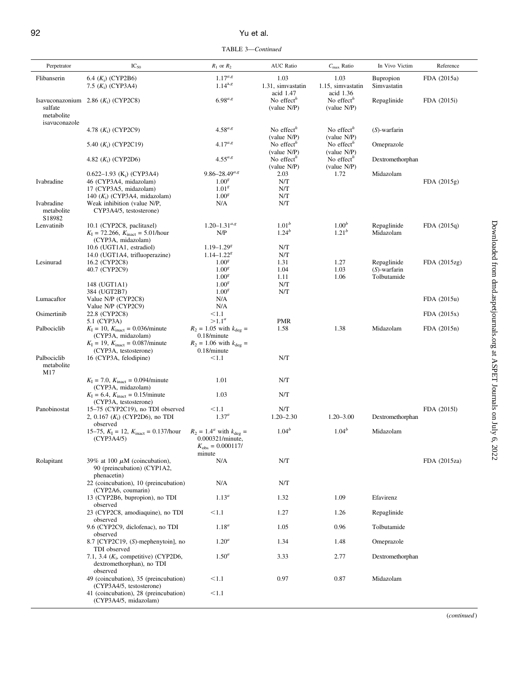### 92 Yu et al.

TABLE 3—Continued

| Perpetrator               | $IC_{50}$                                                                                                                      | $R_1$ or $R_2$                                                                                 | <b>AUC Ratio</b>                          | $C_{\text{max}}$ Ratio                    | In Vivo Victim                 | Reference    |
|---------------------------|--------------------------------------------------------------------------------------------------------------------------------|------------------------------------------------------------------------------------------------|-------------------------------------------|-------------------------------------------|--------------------------------|--------------|
| Flibanserin               | 6.4 $(K_i)$ (CYP2B6)<br>7.5 $(K_i)$ (CYP3A4)                                                                                   | $1.17^{a,g}$<br>$1.14^{a,g}$                                                                   | 1.03<br>1.31, simvastatin                 | 1.03<br>1.15, simvastatin                 | Bupropion<br>Simvastatin       | FDA (2015a)  |
| sulfate<br>metabolite     | Isavuconazonium 2.86 $(K_i)$ (CYP2C8)                                                                                          | $6.98^{a,g}$                                                                                   | acid 1.47<br>No effect $h$<br>(value N/P) | acid 1.36<br>No effect $h$<br>(value N/P) | Repaglinide                    | FDA (2015i)  |
| isavuconazole             | 4.78 $(K_i)$ (CYP2C9)                                                                                                          | $4.58^{a,g}$                                                                                   | No effect $h$                             | No effect $h$                             | $(S)$ -warfarin                |              |
|                           | 5.40 $(K_i)$ (CYP2C19)                                                                                                         | $4.17^{a,g}$                                                                                   | (value N/P)<br>No effect $h$              | (value N/P)<br>No effect $h$              | Omeprazole                     |              |
|                           | 4.82 $(K_i)$ (CYP2D6)                                                                                                          | $4.55^{a,g}$                                                                                   | (value N/P)<br>No effect $n$              | (value N/P)<br>No effect $n$              | Dextromethorphan               |              |
|                           | $0.622 - 1.93$ (K <sub>i</sub> ) (CYP3A4)                                                                                      | $9.86 - 28.49^{a,g}$                                                                           | (value N/P)<br>2.03                       | (value N/P)<br>1.72                       | Midazolam                      |              |
| Ivabradine                | 46 (CYP3A4, midazolam)<br>17 (CYP3A5, midazolam)                                                                               | 1.00 <sup>g</sup><br>1.01 <sup>g</sup>                                                         | N/T<br>N/T                                |                                           |                                | FDA(2015g)   |
| Ivabradine<br>metabolite  | 140 $(K_i)$ (CYP3A4, midazolam)<br>Weak inhibition (value N/P,<br>CYP3A4/5, testosterone)                                      | 1.00 <sup>g</sup><br>N/A                                                                       | N/T<br>N/T                                |                                           |                                |              |
| S18982<br>Lenvatinib      | 10.1 (CYP2C8, paclitaxel)                                                                                                      | $1.20 - 1.31^{a,g}$                                                                            | 1.01 <sup>b</sup>                         | 1.00 <sup>b</sup>                         | Repaglinide                    | FDA(2015q)   |
|                           | $K_{\rm I} = 72.266$ , $K_{\rm inact} = 5.01$ /hour<br>(CYP3A, midazolam)                                                      | N/P                                                                                            | $1.24^{b}$                                | $1.21^{b}$                                | Midazolam                      |              |
|                           | 10.6 (UGT1A1, estradiol)                                                                                                       | $1.19 - 1.29g$                                                                                 | N/T                                       |                                           |                                |              |
|                           | 14.0 (UGT1A4, trifluoperazine)                                                                                                 | $1.14 - 1.228$                                                                                 | N/T                                       |                                           |                                |              |
| Lesinurad                 | 16.2 (CYP2C8)<br>40.7 (CYP2C9)                                                                                                 | 1.00 <sup>g</sup><br>1.00 <sup>g</sup>                                                         | 1.31<br>1.04                              | 1.27<br>1.03                              | Repaglinide<br>$(S)$ -warfarin | FDA (2015zg) |
|                           |                                                                                                                                | 1.00 <sup>g</sup>                                                                              | 1.11                                      | 1.06                                      | Tolbutamide                    |              |
|                           | 148 (UGT1A1)                                                                                                                   | 1.00 <sup>g</sup>                                                                              | N/T                                       |                                           |                                |              |
|                           | 384 (UGT2B7)                                                                                                                   | 1.00 <sup>g</sup>                                                                              | N/T                                       |                                           |                                |              |
| Lumacaftor                | Value N/P (CYP2C8)                                                                                                             | N/A                                                                                            |                                           |                                           |                                | FDA (2015u)  |
|                           | Value N/P (CYP2C9)                                                                                                             | N/A                                                                                            |                                           |                                           |                                |              |
| Osimertinib               | 22.8 (CYP2C8)                                                                                                                  | < 1.1                                                                                          |                                           |                                           |                                | FDA (2015x)  |
|                           | 5.1 (CYP3A)                                                                                                                    | $>1.1^a$                                                                                       | <b>PMR</b>                                |                                           |                                |              |
| Palbociclib               | $K_{\rm I} = 10$ , $K_{\rm inact} = 0.036$ /minute<br>(CYP3A, midazolam)<br>$K_{\rm I} = 19$ , $K_{\rm inact} = 0.087$ /minute | $R_2 = 1.05$ with $k_{\text{deg}} =$<br>$0.18/m$ inute<br>$R_2 = 1.06$ with $k_{\text{deg}} =$ | 1.58                                      | 1.38                                      | Midazolam                      | FDA (2015n)  |
| Palbociclib<br>metabolite | (CYP3A, testosterone)<br>16 (CYP3A, felodipine)                                                                                | $0.18/m$ inute<br>< 1.1                                                                        | N/T                                       |                                           |                                |              |
| M17                       | $K_{\rm I} = 7.0$ , $K_{\rm inact} = 0.094$ /minute                                                                            | 1.01                                                                                           | N/T                                       |                                           |                                |              |
|                           | (CYP3A, midazolam)<br>$K_{\rm I} = 6.4$ , $K_{\rm inact} = 0.15$ /minute<br>(CYP3A, testosterone)                              | 1.03                                                                                           | N/T                                       |                                           |                                |              |
| Panobinostat              | 15–75 (CYP2C19), no TDI observed<br>2, 0.167 $(K_i)$ (CYP2D6), no TDI                                                          | < 1.1<br>$1.37^{a}$                                                                            | N/T<br>$1.20 - 2.30$                      | $1.20 - 3.00$                             | Dextromethorphan               | FDA (20151)  |
|                           | observed<br>15–75, $K_{\rm I} = 12$ , $K_{\rm inact} = 0.137$ /hour                                                            | $R_2 = 1.4^a$ with $k_{\text{deg}} =$                                                          | $1.04^{b}$                                | $1.04^{b}$                                | Midazolam                      |              |
|                           | (CYP3A4/5)                                                                                                                     | 0.000321/minute,<br>$K_{\rm obs}=0.000117/$<br>minute                                          |                                           |                                           |                                |              |
| Rolapitant                | 39% at 100 $\mu$ M (coincubation),<br>90 (preincubation) (CYP1A2,<br>phenacetin)                                               | N/A                                                                                            | N/T                                       |                                           |                                | FDA (2015za) |
|                           | 22 (coincubation), 10 (preincubation)<br>(CYP2A6, coumarin)                                                                    | N/A                                                                                            | N/T                                       |                                           |                                |              |
|                           | 13 (CYP2B6, bupropion), no TDI<br>observed                                                                                     | $1.13^{a}$                                                                                     | 1.32                                      | 1.09                                      | Efavirenz                      |              |
|                           | 23 (CYP2C8, amodiaquine), no TDI<br>observed<br>9.6 (CYP2C9, diclofenac), no TDI                                               | < 1.1                                                                                          | 1.27                                      | 1.26                                      | Repaglinide                    |              |
|                           | observed<br>8.7 [CYP2C19, (S)-mephenytoin], no                                                                                 | $1.18^{a}$<br>$1.20^a$                                                                         | 1.05<br>1.34                              | 0.96<br>1.48                              | Tolbutamide<br>Omeprazole      |              |
|                           | TDI observed<br>7.1, 3.4 $(K_i,$ competitive) (CYP2D6,                                                                         | $1.50^a$                                                                                       | 3.33                                      | 2.77                                      | Dextromethorphan               |              |
|                           | dextromethorphan), no TDI<br>observed                                                                                          |                                                                                                |                                           |                                           |                                |              |
|                           | 49 (coincubation), 35 (preincubation)<br>(CYP3A4/5, testosterone)                                                              | < 1.1                                                                                          | 0.97                                      | 0.87                                      | Midazolam                      |              |
|                           | 41 (coincubation), 28 (preincubation)<br>(CYP3A4/5, midazolam)                                                                 | < 1.1                                                                                          |                                           |                                           |                                |              |

(continued )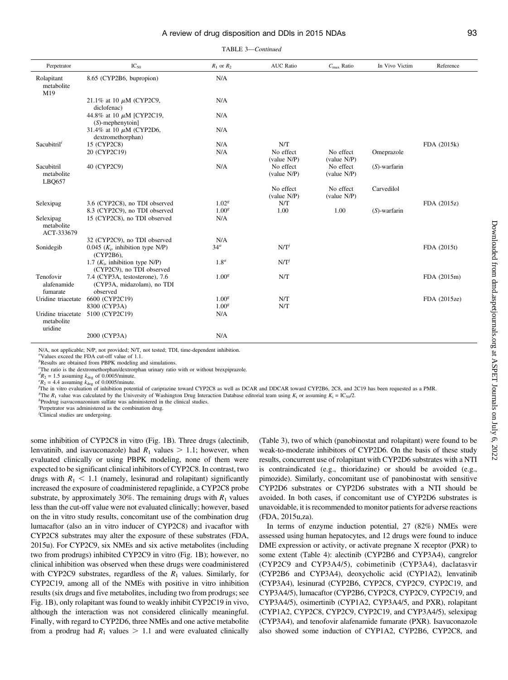|  |  | TABLE 3-Continued |
|--|--|-------------------|
|--|--|-------------------|

| Perpetrator                                 | $IC_{50}$                                                                | $R_1$ or $R_2$    | <b>AUC</b> Ratio         | $C_{\text{max}}$ Ratio   | In Vivo Victim  | Reference    |
|---------------------------------------------|--------------------------------------------------------------------------|-------------------|--------------------------|--------------------------|-----------------|--------------|
| Rolapitant<br>metabolite<br>M19             | 8.65 (CYP2B6, bupropion)                                                 | N/A               |                          |                          |                 |              |
|                                             | 21.1% at 10 $\mu$ M (CYP2C9,<br>diclofenac)                              | N/A               |                          |                          |                 |              |
|                                             | 44.8% at 10 $\mu$ M [CYP2C19,<br>$(S)$ -mephenytoin]                     | N/A               |                          |                          |                 |              |
|                                             | 31.4% at 10 $\mu$ M (CYP2D6,<br>dextromethorphan)                        | N/A               |                          |                          |                 |              |
| Sacubitril <sup>i</sup>                     | 15 (CYP2C8)                                                              | N/A               | N/T                      |                          |                 | FDA (2015k)  |
|                                             | 20 (CYP2C19)                                                             | N/A               | No effect<br>(value N/P) | No effect<br>(value N/P) | Omeprazole      |              |
| Sacubitril<br>metabolite<br>LBO657          | 40 (CYP2C9)                                                              | N/A               | No effect<br>(value N/P) | No effect<br>(value N/P) | $(S)$ -warfarin |              |
|                                             |                                                                          |                   | No effect<br>(value N/P) | No effect<br>(value N/P) | Carvedilol      |              |
| Selexipag                                   | 3.6 (CYP2C8), no TDI observed                                            | 1.02 <sup>g</sup> | N/T                      |                          |                 | FDA (2015z)  |
|                                             | 8.3 (CYP2C9), no TDI observed                                            | 1.00 <sup>g</sup> | 1.00                     | 1.00                     | $(S)$ -warfarin |              |
| Selexipag<br>metabolite<br>ACT-333679       | 15 (CYP2C8), no TDI observed                                             | N/A               |                          |                          |                 |              |
|                                             | 32 (CYP2C9), no TDI observed                                             | N/A               |                          |                          |                 |              |
| Sonidegib                                   | $0.045$ ( $K_i$ , inhibition type N/P)<br>(CYP2B6),                      | 34 <sup>a</sup>   | $N/T^{j}$                |                          |                 | FDA (2015t)  |
|                                             | 1.7 $(K_i)$ , inhibition type N/P)<br>(CYP2C9), no TDI observed          | $1.8^a$           | N/T'                     |                          |                 |              |
| Tenofovir<br>alafenamide<br>fumarate        | 7.4 (CYP3A, testosterone), 7.6<br>(CYP3A, midazolam), no TDI<br>observed | 1.00 <sup>g</sup> | N/T                      |                          |                 | FDA (2015m)  |
| Uridine triacetate                          | 6600 (CYP2C19)                                                           | 1.00 <sup>g</sup> | N/T                      |                          |                 | FDA (2015ze) |
|                                             | 8300 (CYP3A)                                                             | 1.00 <sup>g</sup> | N/T                      |                          |                 |              |
| Uridine triacetate<br>metabolite<br>uridine | 5100 (CYP2C19)                                                           | N/A               |                          |                          |                 |              |
|                                             | 2000 (CYP3A)                                                             | N/A               |                          |                          |                 |              |

N/A, not applicable; N/P, not provided; N/T, not tested; TDI, time-dependent inhibition.

a Values exceed the FDA cut-off value of 1.1.

<sup>b</sup>Results are obtained from PBPK modeling and simulations.

c The ratio is the dextromethorphan/dextrorphan urinary ratio with or without brexpiprazole.

 $dR_2 = 1.5$  assuming  $k_{\text{deg}}$  of 0.0005/minute.

 ${}^eR_2$  = 4.4 assuming  $k_{\text{deg}}$  of 0.0005/minute.

 $\frac{f_{\text{The}}}{f_{\text{The}}}$  in vitro evaluation of inhibition potential of cariprazine toward CYP2C8 as well as DCAR and DDCAR toward CYP2B6, 2C8, and 2C19 has been requested as a PMR

<sup>g</sup>The R<sub>1</sub> value was calculated by the University of Washington Drug Interaction Database editorial team using  $K_i$  or assuming  $K_i = IC_{50}/2$ .

 $h$ Prodrug isavuconazonium sulfate was administered in the clinical studies.

i Perpetrator was administered as the combination drug.

j Clinical studies are undergoing.

some inhibition of CYP2C8 in vitro (Fig. 1B). Three drugs (alectinib, lenvatinib, and isavuconazole) had  $R_1$  values  $> 1.1$ ; however, when evaluated clinically or using PBPK modeling, none of them were expected to be significant clinical inhibitors of CYP2C8. In contrast, two drugs with  $R_1 < 1.1$  (namely, lesinurad and rolapitant) significantly increased the exposure of coadministered repaglinide, a CYP2C8 probe substrate, by approximately 30%. The remaining drugs with  $R_1$  values less than the cut-off value were not evaluated clinically; however, based on the in vitro study results, concomitant use of the combination drug lumacaftor (also an in vitro inducer of CYP2C8) and ivacaftor with CYP2C8 substrates may alter the exposure of these substrates (FDA, 2015u). For CYP2C9, six NMEs and six active metabolites (including two from prodrugs) inhibited CYP2C9 in vitro (Fig. 1B); however, no clinical inhibition was observed when these drugs were coadministered with CYP2C9 substrates, regardless of the  $R_1$  values. Similarly, for CYP2C19, among all of the NMEs with positive in vitro inhibition results (six drugs and five metabolites, including two from prodrugs; see Fig. 1B), only rolapitant was found to weakly inhibit CYP2C19 in vivo, although the interaction was not considered clinically meaningful. Finally, with regard to CYP2D6, three NMEs and one active metabolite from a prodrug had  $R_1$  values  $> 1.1$  and were evaluated clinically (Table 3), two of which (panobinostat and rolapitant) were found to be weak-to-moderate inhibitors of CYP2D6. On the basis of these study results, concurrent use of rolapitant with CYP2D6 substrates with a NTI is contraindicated (e.g., thioridazine) or should be avoided (e.g., pimozide). Similarly, concomitant use of panobinostat with sensitive CYP2D6 substrates or CYP2D6 substrates with a NTI should be avoided. In both cases, if concomitant use of CYP2D6 substrates is unavoidable, it is recommended to monitor patients for adverse reactions (FDA, 2015u,za).

In terms of enzyme induction potential, 27 (82%) NMEs were assessed using human hepatocytes, and 12 drugs were found to induce DME expression or activity, or activate pregnane X receptor (PXR) to some extent (Table 4): alectinib (CYP2B6 and CYP3A4), cangrelor (CYP2C9 and CYP3A4/5), cobimetinib (CYP3A4), daclatasvir (CYP2B6 and CYP3A4), deoxycholic acid (CYP1A2), lenvatinib (CYP3A4), lesinurad (CYP2B6, CYP2C8, CYP2C9, CYP2C19, and CYP3A4/5), lumacaftor (CYP2B6, CYP2C8, CYP2C9, CYP2C19, and CYP3A4/5), osimertinib (CYP1A2, CYP3A4/5, and PXR), rolapitant (CYP1A2, CYP2C8, CYP2C9, CYP2C19, and CYP3A4/5), selexipag (CYP3A4), and tenofovir alafenamide fumarate (PXR). Isavuconazole also showed some induction of CYP1A2, CYP2B6, CYP2C8, and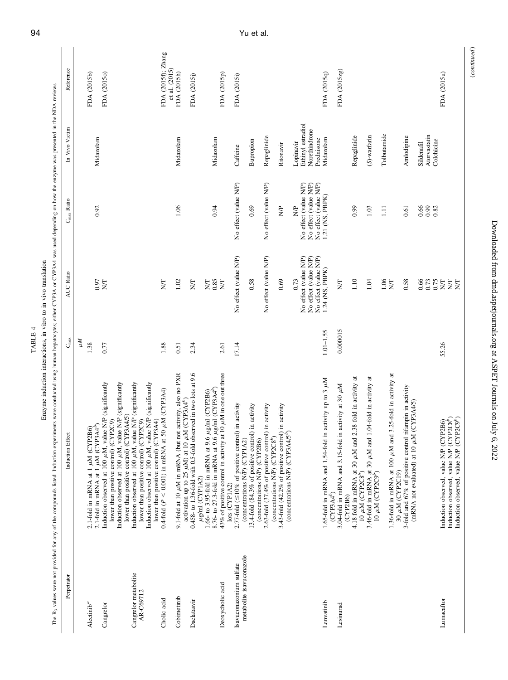|                        | î     |
|------------------------|-------|
|                        | Ĩ.    |
|                        | Ś     |
| Į                      | utro: |
| $T$ ARI $\overline{r}$ |       |
|                        |       |
|                        |       |
|                        |       |

The B<sub>3</sub> values were not provided for any of the compounds listed. Induction experiments were conducted using human hepatocytes; either CYP3A or CYP3A4 was used depending on how the enzyme was presented in the NDA reviews. The R<sub>3</sub> values were not provided for any of the compounds listed. Induction experiments were conducted using human hepatocytes; either CYP3A or CYP3A4 was used depending on how the enzyme was presented in the NDA reviews. Enzyme induction interactions, in vitro to in vivo translation

| Perpetrator                       | Induction Effect                                                                                                                                            | $C_{\rm max}$ | AUC Ratio                                                               | $C_{\text{max}}$ Ratio                                                  | In Vivo Victim                                   | Reference                             |
|-----------------------------------|-------------------------------------------------------------------------------------------------------------------------------------------------------------|---------------|-------------------------------------------------------------------------|-------------------------------------------------------------------------|--------------------------------------------------|---------------------------------------|
|                                   |                                                                                                                                                             | ĀМ            |                                                                         |                                                                         |                                                  |                                       |
| $\Lambda$ lectinib <sup>a</sup>   | 2.1-fold in mRNA at 1 $\mu$ M (CYP2B6)<br>2.1-fold in mRNA at 1 $\mu$ M (CYP3A4 <sup>b</sup> )                                                              | 1.38          |                                                                         |                                                                         |                                                  | FDA (2015b)                           |
| Cangrelor                         | Induction observed at 100 µM, value N/P (significantly                                                                                                      | 0.77          | $\frac{0.97}{N}$                                                        | 0.92                                                                    | Midazolam                                        | FDA (2015o)                           |
|                                   | Induction observed at 100 µM, value N/P (significantly<br>lower than positive control) (CYP3A4/5)<br>lower than positive control) (CYP2C9)                  |               |                                                                         |                                                                         |                                                  |                                       |
| Cangrelor metabolite<br>AR-C69712 | Induction observed at 100 $\mu$ M, value N/P (significantly lower than positive control) (CYP2C9)<br>Induction observed at 100 µM, value N/P (significantly |               |                                                                         |                                                                         |                                                  |                                       |
|                                   | lower than positive control) (CYP3A4)                                                                                                                       |               |                                                                         |                                                                         |                                                  |                                       |
| Cholic acid                       | $0.4$ -fold ( $P < 0.001$ ) in mRNA at 50 $\mu$ M (CYP3A4)                                                                                                  | 1.88          | 5H                                                                      |                                                                         |                                                  | FDA (2015f); Zhang<br>et al. $(2015)$ |
| Cobimetinib                       | 9.1-fold at 10 $\mu$ M in mRNA (but not activity, also no PXR activation up to 25 $\mu$ M) at 10 $\mu$ M (CYP3A4 <sup>b</sup> )                             | 0.51          | 1.02                                                                    | 1.06                                                                    | Midazolam                                        | FDA (2015h)                           |
| Daclatasvir                       | $0.458$ - to 1.36-fold with 0.5-fold observed in two lots at 9.6                                                                                            | 2.34          | <b>Z</b>                                                                |                                                                         |                                                  | FDA (2015j)                           |
|                                   | 8.76- to 27.3-fold in mRNA at 9.6 $\mu$ g/ml (CYP3A4 <sup>b</sup> )<br>$\mu$ g/ml (CYP2B6)<br>1.66- to 3.95-fold in mRNA at 9.6<br>$\mu$ g/ml (CYP1A2)      |               | <b>NSS</b><br>NSS                                                       | 0.94                                                                    | Midazolam                                        |                                       |
| Deoxycholic acid                  | 43% of positive control in activity at 10 $\mu$ M in one out three<br>lots (CYP1A2)                                                                         | 2.61          |                                                                         |                                                                         |                                                  | FDA (2015p)                           |
| Isavuconazonium sulfate           | 2.77-fold ( $\leq$ 10% of positive control) in activity                                                                                                     | 17.14         | No effect (value N/P)                                                   | No effect (value N/P)                                                   | Caffeine                                         | FDA (2015i)                           |
| metabolite isavuconazole          | 13.4-fold (84.3% of positive control) in activity<br>(concentrations N/P) (CYP1A2)<br>(concentrations N/P) (CYP2B6)                                         |               | 0.58                                                                    | 0.69                                                                    | Bupropion                                        |                                       |
|                                   | 2.63-fold (37.4% of positive control) in activity                                                                                                           |               | No effect (value N/P)                                                   | No effect (value N/P)                                                   | Repaglinide                                      |                                       |
|                                   | 3.43-fold (42.2% of positive control) in activity<br>(concentrations N/P) (CYP3A4/5 <sup>6</sup> )<br>(concentrations N/P) (CYP2C8 <sup>b</sup> )           |               | 0.69                                                                    | $\frac{1}{2}$                                                           | Ritonavir                                        |                                       |
|                                   |                                                                                                                                                             |               | 0.73                                                                    | $\frac{1}{2}$                                                           | Lopinavir                                        |                                       |
|                                   |                                                                                                                                                             |               | No effect (value N/P)<br>No effect (value N/P)<br>No effect (value N/P) | No effect (value N/P)<br>No effect (value N/P)<br>No effect (value N/P) | Ethinyl estradiol<br>Norethindrone<br>Prednisone |                                       |
| Lenvatinib                        | 1.65-fold in mRNA and 1.54-fold in activity up to 3 µM                                                                                                      | $1.01 - 1.55$ | 1.24 (NS, PBPK)                                                         | 1.21 (NS, PBPK)                                                         | Midazolam                                        | FDA (2015q)                           |
| Lesinurad                         | 3.04-fold in mRNA and 3.15-fold in activity at 30 µM<br>$(CYP3A4^b)$<br>(CYP2B6)                                                                            | 0.000015      | Ş                                                                       |                                                                         |                                                  | FDA (2015zg)                          |
|                                   | 2.38-fold in activity at<br>4.18-fold in mRNA at 30 $\mu$ M and<br>10 $\mu$ M (CYP2C8 <sup>b</sup> )                                                        |               | 1.10                                                                    | 0.99                                                                    | Repaglinide                                      |                                       |
|                                   | 1.04-fold in activity at<br>3.46-fold in mRNA at 30 $\mu$ M and 10 $\mu$ M (CYP2C9 <sup>b</sup> )                                                           |               | 1.04                                                                    | $1.03$                                                                  | (S)-warfarin                                     |                                       |
|                                   |                                                                                                                                                             |               | 1.06                                                                    | $\Xi$                                                                   | Tolbutamide                                      |                                       |
|                                   | 3.25-fold in activity at<br>1.36-fold in mRNA at 100 $\mu$ M and                                                                                            |               | $\Sigma$                                                                |                                                                         |                                                  |                                       |
|                                   | rifampin in activity<br>(mRNA not evaluated) at 10 µM (CYP3A4/5)<br>30 $\mu$ M (CYP2C19)<br>3-fold and 67% of positive control                              |               | 0.58                                                                    | 0.61                                                                    | Amlodipine                                       |                                       |
|                                   |                                                                                                                                                             |               | 0.66                                                                    | 66<br>0.82<br>0.82                                                      | Atorvastatin<br>Colchicine<br>Sildenafil         |                                       |
| Lumacaftor                        | Induction observed, value N/P (CYP2C8 <sup>b</sup> )<br>Induction observed, value N/P (CYP2C9 <sup>b</sup> )<br>Induction observed, value N/P (CYP2B6)      | 55.26         | ns<br>SSEEE                                                             |                                                                         |                                                  | FDA (2015u)                           |

 $\label{eq:constrained} (continued)$ (continued )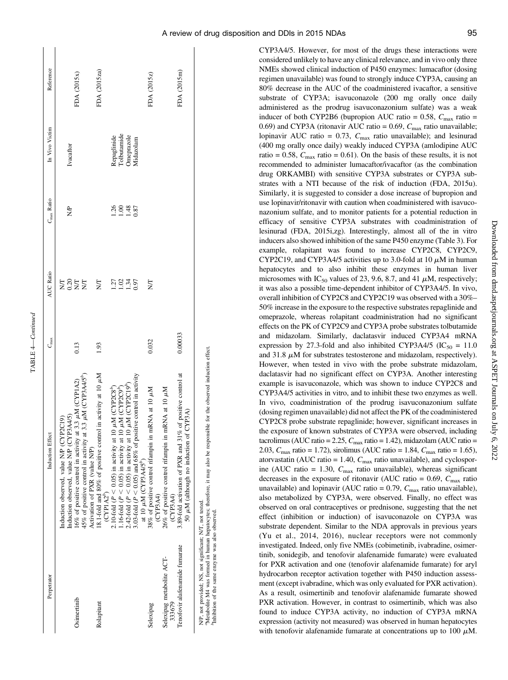| S  |
|----|
| f. |
|    |

| Perpetrator                                         | Induction Effect                                                                                             | $C_{\max}$ | AUC Ratio     | C <sub>max</sub> Ratio | In Vivo Victim             | Reference    |
|-----------------------------------------------------|--------------------------------------------------------------------------------------------------------------|------------|---------------|------------------------|----------------------------|--------------|
|                                                     | induction observed, value N/P (CYP3A4/5)<br>Induction observed, value N/P (CYP2C19)                          |            | 0.20<br>Š     | S)                     | Ivacaftor                  |              |
| Osimertinib                                         | .6% of positive control in activity at 3.3 $\mu$ M (CYP1A2)                                                  | 0.13       | $\Sigma$      |                        |                            | FDA (2015x)  |
|                                                     | 15% of positive control in activity at 3.3 $\mu$ M (CYP3A4/5 <sup>b</sup> )<br>Activation of PXR (value N/P) |            | <b>Z</b>      |                        |                            |              |
| Rolapitant                                          | 18.1-fold and 80% of positive control in activity at 10 µM<br>$\left(\text{CPIA2}^p\right)$                  | 1.93       | Ş             |                        |                            | FDA (2015za) |
|                                                     | 2.10-fold ( $P < 0.05$ ) in activity at 10 $\mu$ M (CYP2C8 <sup>b</sup> )                                    |            | Ľč.           | $\tilde{5}$            |                            |              |
|                                                     | .16-fold ( $P < 0.05$ ) in activity at 10 $\mu$ M (CYP2C9 <sup>b</sup> )                                     |            | $\frac{2}{3}$ | $\frac{8}{1}$          | Repaglinide<br>Tolbutamide |              |
|                                                     | .42-fold ( $P < 0.05$ ) in activity at 10 $\mu$ M (CYP2C19 <sup>b</sup> )                                    |            | 1.34          | 1.48                   | <b>Inteprazole</b>         |              |
|                                                     | 3.03-fold ( $P < 0.05$ ) and 68% of positive control in activity<br>at 10 µM (CYP3A4/5 <sup>°</sup> )        |            | 0.97          | 0.87                   | <i><b>fidazolam</b></i>    |              |
| Selexipag                                           | 38% of positive control rifampin in mRNA at 10 µM<br>(CYP3A4)                                                | 0.032      | Ş             |                        |                            | FDA (2015z)  |
| Selexipag metabolite ACT-<br>333679                 | 26% of positive control rifampin in mRNA at 10 µM<br>(CYP3A4)                                                |            |               |                        |                            |              |
| Tenofovir alafenamide fumarate                      | of positive control at<br>50 µM (although no induction of CYP3A)<br>3.89-fold activation of PXR and 31%      | 0.00033    |               |                        |                            | FDA (2015m)  |
| NID and annual NIC and distinguished NIC and touted |                                                                                                              |            |               |                        |                            |              |

N/F, not provided; NS, not significant; N/1, not tested.<br>Which is a provided to the same of the same was also been in the system of the posserved induction effect.<br>"Inhibition of the same enzymb was also observeds; therefo aMetabolite M4 was formed in human hepatocytes; therefore, it may also be responsible for the observed induction effect. N/P, not provided; NS, not significant; N/T, not tested.

<sup>b</sup>Inhibition of the same enzyme was also observed.

CYP3A4/5. However, for most of the drugs these interactions were considered unlikely to have any clinical relevance, and in vivo only three NMEs showed clinical induction of P450 enzymes: lumacaftor (dosing regimen unavailable) was found to strongly induce CYP3A, causing an 80% decrease in the AUC of the coadministered ivacaftor, a sensitive substrate of CYP3A; isavuconazole (200 mg orally once daily administered as the prodrug isavuconazonium sulfate) was a weak inducer of both CYP2B6 (bupropion AUC ratio = 0.58,  $C_{\text{max}}$  ratio = 0.69) and CYP3A (ritonavir AUC ratio = 0.69,  $C_{\text{max}}$  ratio unavailable; lopinavir AUC ratio = 0.73,  $C_{\text{max}}$  ratio unavailable); and lesinurad (400 mg orally once daily) weakly induced CYP3A (amlodipine AUC ratio = 0.58,  $C_{\text{max}}$  ratio = 0.61). On the basis of these results, it is not recommended to administer lumacaftor/ivacaftor (as the combination drug ORKAMBI) with sensitive CYP3A substrates or CYP3A substrates with a NTI because of the risk of induction (FDA, 2015u). Similarly, it is suggested to consider a dose increase of bupropion and use lopinavir/ritonavir with caution when coadministered with isavuconazonium sulfate, and to monitor patients for a potential reduction in efficacy of sensitive CYP3A substrates with coadministration of lesinurad (FDA, 2015i,zg). Interestingly, almost all of the in vitro inducers also showed inhibition of the same P450 enzyme (Table 3). For example, rolapitant was found to increase CYP2C8, CYP2C9, CYP2C19, and CYP3A4/5 activities up to 3.0-fold at 10  $\mu$ M in human hepatocytes and to also inhibit these enzymes in human liver microsomes with IC<sub>50</sub> values of 23, 9.6, 8.7, and 41  $\mu$ M, respectively; it was also a possible time-dependent inhibitor of CYP3A4/5. In vivo, overall inhibition of CYP2C8 and CYP2C19 was observed with a 30%– 50% increase in the exposure to the respective substrates repaglinide and omeprazole, whereas rolapitant coadministration had no significant effects on the PK of CYP2C9 and CYP3A probe substrates tolbutamide and midazolam. Similarly, daclatasvir induced CYP3A4 mRNA expression by 27.3-fold and also inhibited CYP3A4/5 ( $IC_{50} = 11.0$ and 31.8  $\mu$ M for substrates testosterone and midazolam, respectively). However, when tested in vivo with the probe substrate midazolam, daclatasvir had no significant effect on CYP3A. Another interesting example is isavuconazole, which was shown to induce CYP2C8 and CYP3A4/5 activities in vitro, and to inhibit these two enzymes as well. In vivo, coadministration of the prodrug isavuconazonium sulfate (dosing regimen unavailable) did not affect the PK of the coadministered CYP2C8 probe substrate repaglinide; however, significant increases in the exposure of known substrates of CYP3A were observed, including tacrolimus (AUC ratio = 2.25,  $C_{\text{max}}$  ratio = 1.42), midazolam (AUC ratio = 2.03,  $C_{\text{max}}$  ratio = 1.72), sirolimus (AUC ratio = 1.84,  $C_{\text{max}}$  ratio = 1.65), atorvastatin (AUC ratio = 1.40,  $C_{\text{max}}$  ratio unavailable), and cyclosporine (AUC ratio = 1.30,  $C_{\text{max}}$  ratio unavailable), whereas significant decreases in the exposure of ritonavir (AUC ratio =  $0.69$ ,  $C_{\text{max}}$  ratio unavailable) and lopinavir (AUC ratio = 0.79,  $C_{\text{max}}$  ratio unavailable), also metabolized by CYP3A, were observed. Finally, no effect was observed on oral contraceptives or prednisone, suggesting that the net effect (inhibition or induction) of isavuconazole on CYP3A was substrate dependent. Similar to the NDA approvals in previous years (Yu et al., 2014, 2016), nuclear receptors were not commonly investigated. Indeed, only five NMEs (cobimetinib, ivabradine, osimertinib, sonidegib, and tenofovir alafenamide fumarate) were evaluated for PXR activation and one (tenofovir alafenamide fumarate) for aryl hydrocarbon receptor activation together with P450 induction assessment (except ivabradine, which was only evaluated for PXR activation). As a result, osimertinib and tenofovir alafenamide fumarate showed PXR activation. However, in contrast to osimertinib, which was also found to induce CYP3A activity, no induction of CYP3A mRNA expression (activity not measured) was observed in human hepatocytes with tenofovir alafenamide fumarate at concentrations up to 100  $\mu$ M.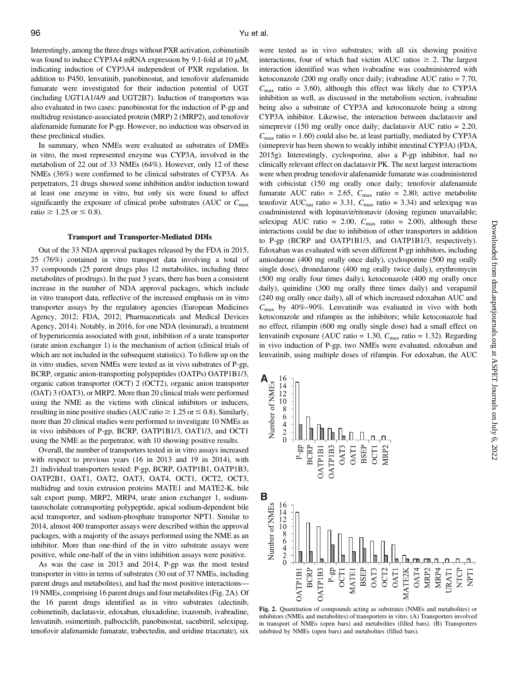Interestingly, among the three drugs without PXR activation, cobimetinib was found to induce CYP3A4 mRNA expression by 9.1-fold at 10  $\mu$ M, indicating induction of CYP3A4 independent of PXR regulation. In addition to P450, lenvatinib, panobinostat, and tenofovir alafenamide fumarate were investigated for their induction potential of UGT (including UGT1A1/4/9 and UGT2B7). Induction of transporters was also evaluated in two cases: panobinostat for the induction of P-gp and multidrug resistance-associated protein (MRP) 2 (MRP2), and tenofovir alafenamide fumarate for P-gp. However, no induction was observed in these preclinical studies.

In summary, when NMEs were evaluated as substrates of DMEs in vitro, the most represented enzyme was CYP3A, involved in the metabolism of 22 out of 33 NMEs (64%). However, only 12 of these NMEs (36%) were confirmed to be clinical substrates of CYP3A. As perpetrators, 21 drugs showed some inhibition and/or induction toward at least one enzyme in vitro, but only six were found to affect significantly the exposure of clinical probe substrates (AUC or  $C_{\text{max}}$ ratio  $\geq 1.25$  or  $\leq 0.8$ ).

#### Transport and Transporter-Mediated DDIs

Out of the 33 NDA approval packages released by the FDA in 2015, 25 (76%) contained in vitro transport data involving a total of 37 compounds (25 parent drugs plus 12 metabolites, including three metabolites of prodrugs). In the past 3 years, there has been a consistent increase in the number of NDA approval packages, which include in vitro transport data, reflective of the increased emphasis on in vitro transporter assays by the regulatory agencies (European Medicines Agency, 2012; FDA, 2012; Pharmaceuticals and Medical Devices Agency, 2014). Notably, in 2016, for one NDA (lesinurad), a treatment of hyperuricemia associated with gout, inhibition of a urate transporter (urate anion exchanger 1) is the mechanism of action (clinical trials of which are not included in the subsequent statistics). To follow up on the in vitro studies, seven NMEs were tested as in vivo substrates of P-gp, BCRP, organic anion-transporting polypeptides (OATPs) OATP1B1/3, organic cation transporter (OCT) 2 (OCT2), organic anion transporter (OAT) 3 (OAT3), or MRP2. More than 20 clinical trials were performed using the NME as the victims with clinical inhibitors or inducers, resulting in nine positive studies (AUC ratio  $\geq 1.25$  or  $\leq 0.8$ ). Similarly, more than 20 clinical studies were performed to investigate 10 NMEs as in vivo inhibitors of P-gp, BCRP, OATP1B1/3, OAT1/3, and OCT1 using the NME as the perpetrator, with 10 showing positive results.

Overall, the number of transporters tested in in vitro assays increased with respect to previous years (16 in 2013 and 19 in 2014), with 21 individual transporters tested: P-gp, BCRP, OATP1B1, OATP1B3, OATP2B1, OAT1, OAT2, OAT3, OAT4, OCT1, OCT2, OCT3, multidrug and toxin extrusion proteins MATE1 and MATE2-K, bile salt export pump, MRP2, MRP4, urate anion exchanger 1, sodiumtaurocholate cotransporting polypeptide, apical sodium-dependent bile acid transporter, and sodium-phosphate transporter NPT1. Similar to 2014, almost 400 transporter assays were described within the approval packages, with a majority of the assays performed using the NME as an inhibitor. More than one-third of the in vitro substrate assays were positive, while one-half of the in vitro inhibition assays were positive.

As was the case in 2013 and 2014, P-gp was the most tested transporter in vitro in terms of substrates (30 out of 37 NMEs, including parent drugs and metabolites), and had the most positive interactions— 19 NMEs, comprising 16 parent drugs and four metabolites (Fig. 2A). Of the 16 parent drugs identified as in vitro substrates (alectinib, cobimetinib, daclatasvir, edoxaban, eluxadoline, ixazomib, ivabradine, lenvatinib, osimertinib, palbociclib, panobinostat, sacubitril, selexipag, tenofovir alafenamide fumarate, trabectedin, and uridine triacetate), six

were tested as in vivo substrates; with all six showing positive interactions, four of which had victim AUC ratios  $\geq 2$ . The largest interaction identified was when ivabradine was coadministered with ketoconazole (200 mg orally once daily; ivabradine AUC ratio = 7.70,  $C_{\text{max}}$  ratio = 3.60), although this effect was likely due to CYP3A inhibition as well, as discussed in the metabolism section, ivabradine being also a substrate of CYP3A and ketoconazole being a strong CYP3A inhibitor. Likewise, the interaction between daclatasvir and simeprevir (150 mg orally once daily; daclatasvir AUC ratio = 2.20,  $C_{\text{max}}$  ratio = 1.60) could also be, at least partially, mediated by CYP3A (simeprevir has been shown to weakly inhibit intestinal CYP3A) (FDA, 2015g). Interestingly, cyclosporine, also a P-gp inhibitor, had no clinically relevant effect on daclatasvir PK. The next largest interactions were when prodrug tenofovir alafenamide fumarate was coadministered with cobicistat (150 mg orally once daily; tenofovir alafenamide fumarate AUC ratio = 2.65,  $C_{\text{max}}$  ratio = 2.80; active metabolite tenofovir AUC<sub>tau</sub> ratio = 3.31,  $C_{\text{max}}$  ratio = 3.34) and selexipag was coadministered with lopinavir/ritonavir (dosing regimen unavailable; selexipag AUC ratio = 2.00,  $C_{\text{max}}$  ratio = 2.00), although these interactions could be due to inhibition of other transporters in addition to P-gp (BCRP and OATP1B1/3, and OATP1B1/3, respectively). Edoxaban was evaluated with seven different P-gp inhibitors, including amiodarone (400 mg orally once daily), cyclosporine (500 mg orally single dose), dronedarone (400 mg orally twice daily), erythromycin (500 mg orally four times daily), ketoconazole (400 mg orally once daily), quinidine (300 mg orally three times daily) and verapamil (240 mg orally once daily), all of which increased edoxaban AUC and  $C_{\text{max}}$  by 40%–90%. Lenvatinib was evaluated in vivo with both ketoconazole and rifampin as the inhibitors; while ketoconazole had no effect, rifampin (600 mg orally single dose) had a small effect on lenvatinib exposure (AUC ratio = 1.30,  $C_{\text{max}}$  ratio = 1.32). Regarding in vivo induction of P-gp, two NMEs were evaluated, edoxaban and lenvatinib, using multiple doses of rifampin. For edoxaban, the AUC





Fig. 2. Quantitation of compounds acting as substrates (NMEs and metabolites) or inhibitors (NMEs and metabolites) of transporters in vitro. (A) Transporters involved in transport of NMEs (open bars) and metabolites (filled bars). (B) Transporters inhibited by NMEs (open bars) and metabolites (filled bars).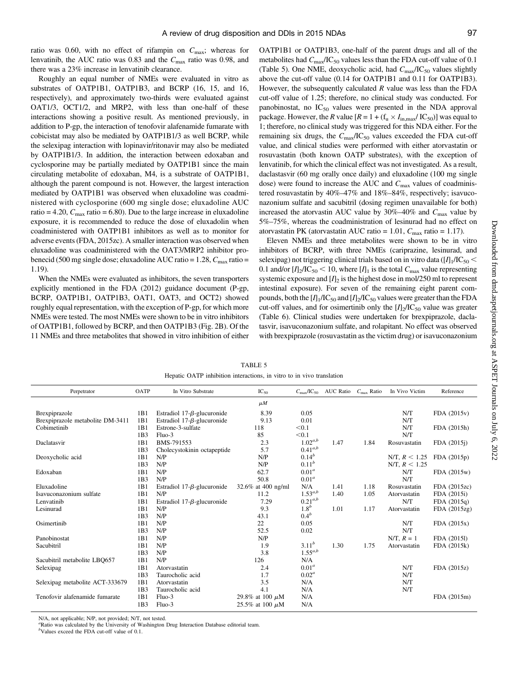ratio was 0.60, with no effect of rifampin on  $C_{\text{max}}$ ; whereas for lenvatinib, the AUC ratio was 0.83 and the  $C_{\text{max}}$  ratio was 0.98, and there was a 23% increase in lenvatinib clearance.

Roughly an equal number of NMEs were evaluated in vitro as substrates of OATP1B1, OATP1B3, and BCRP (16, 15, and 16, respectively), and approximately two-thirds were evaluated against OAT1/3, OCT1/2, and MRP2, with less than one-half of these interactions showing a positive result. As mentioned previously, in addition to P-gp, the interaction of tenofovir alafenamide fumarate with cobicistat may also be mediated by OATP1B1/3 as well BCRP, while the selexipag interaction with lopinavir/ritonavir may also be mediated by OATP1B1/3. In addition, the interaction between edoxaban and cyclosporine may be partially mediated by OATP1B1 since the main circulating metabolite of edoxaban, M4, is a substrate of OATP1B1, although the parent compound is not. However, the largest interaction mediated by OATP1B1 was observed when eluxadoline was coadministered with cyclosporine (600 mg single dose; eluxadoline AUC ratio = 4.20,  $C_{\text{max}}$  ratio = 6.80). Due to the large increase in eluxadoline exposure, it is recommended to reduce the dose of eluxadolin when coadministered with OATP1B1 inhibitors as well as to monitor for adverse events (FDA, 2015zc). A smaller interaction was observed when eluxadoline was coadministered with the OAT3/MRP2 inhibitor probenecid (500 mg single dose; eluxadoline AUC ratio = 1.28,  $C_{\text{max}}$  ratio = 1.19).

When the NMEs were evaluated as inhibitors, the seven transporters explicitly mentioned in the FDA (2012) guidance document (P-gp, BCRP, OATP1B1, OATP1B3, OAT1, OAT3, and OCT2) showed roughly equal representation, with the exception of P-gp, for which more NMEs were tested. The most NMEs were shown to be in vitro inhibitors of OATP1B1, followed by BCRP, and then OATP1B3 (Fig. 2B). Of the 11 NMEs and three metabolites that showed in vitro inhibition of either OATP1B1 or OATP1B3, one-half of the parent drugs and all of the metabolites had  $C_{\text{max}}/IC_{50}$  values less than the FDA cut-off value of 0.1 (Table 5). One NME, deoxycholic acid, had  $C_{\text{max}}/IC_{50}$  values slightly above the cut-off value (0.14 for OATP1B1 and 0.11 for OATP1B3). However, the subsequently calculated  $R$  value was less than the FDA cut-off value of 1.25; therefore, no clinical study was conducted. For panobinostat, no  $IC_{50}$  values were presented in the NDA approval package. However, the R value  $[R = 1 + (f_u \times I_{in,max} / IC_{50})]$  was equal to 1; therefore, no clinical study was triggered for this NDA either. For the remaining six drugs, the  $C_{\text{max}}/IC_{50}$  values exceeded the FDA cut-off value, and clinical studies were performed with either atorvastatin or rosuvastatin (both known OATP substrates), with the exception of lenvatinib, for which the clinical effect was not investigated. As a result, daclastasvir (60 mg orally once daily) and eluxadoline (100 mg single dose) were found to increase the AUC and  $C_{\text{max}}$  values of coadministered rosuvastatin by 40%–47% and 18%–84%, respectively; isavuconazonium sulfate and sacubitril (dosing regimen unavailable for both) increased the atorvastin AUC value by  $30\%$ -40% and  $C_{\text{max}}$  value by 5%–75%, whereas the coadministration of lesinurad had no effect on atorvastatin PK (atorvastatin AUC ratio = 1.01,  $C_{\text{max}}$  ratio = 1.17).

Eleven NMEs and three metabolites were shown to be in vitro inhibitors of BCRP, with three NMEs (cariprazine, lesinurad, and selexipag) not triggering clinical trials based on in vitro data ( $[I]_1/IC_{50}$  < 0.1 and/or  $[I]_2/I C_{50}$  < 10, where  $[I]_1$  is the total  $C_{\text{max}}$  value representing systemic exposure and  $[I]_2$  is the highest dose in mol/250 ml to represent intestinal exposure). For seven of the remaining eight parent compounds, both the  $[I]_1/IC_{50}$  and  $[I]_2/IC_{50}$  values were greater than the FDA cut-off values, and for osimertinib only the  $[I]_2/I C_{50}$  value was greater (Table 6). Clinical studies were undertaken for brexpiprazole, daclatasvir, isavuconazonium sulfate, and rolapitant. No effect was observed with brexpiprazole (rosuvastatin as the victim drug) or isavuconazonium

TABLE 5 Hepatic OATP inhibition interactions, in vitro to in vivo translation

N/A, not applicable; N/P, not provided; N/T, not tested.

a Ratio was calculated by the University of Washington Drug Interaction Database editorial team.

b Values exceed the FDA cut-off value of 0.1.

| Perpetrator                      | OATP            | In Vitro Substrate                 | $IC_{50}$            | $C_{\rm max}/IC_{50}$ | AUC Ratio $C_{\text{max}}$ Ratio |      | In Vivo Victim  | Reference    |
|----------------------------------|-----------------|------------------------------------|----------------------|-----------------------|----------------------------------|------|-----------------|--------------|
|                                  |                 |                                    | $\mu$ <i>M</i>       |                       |                                  |      |                 |              |
| Brexpiprazole                    | 1B1             | Estradiol 17- $\beta$ -glucuronide | 8.39                 | 0.05                  |                                  |      | N/T             | FDA(2015v)   |
| Brexpiprazole metabolite DM-3411 | 1B1             | Estradiol 17- $\beta$ -glucuronide | 9.13                 | 0.01                  |                                  |      | N/T             |              |
| Cobimetinib                      | 1B1             | Estrone-3-sulfate                  | 118                  | < 0.1                 |                                  |      | N/T             | FDA (2015h)  |
|                                  | 1B3             | $Fluo-3$                           | 85                   | < 0.1                 |                                  |      | N/T             |              |
| Daclatasvir                      | 1B1             | BMS-791553                         | 2.3                  | $1.02^{a,b}$          | 1.47                             | 1.84 | Rosuvastatin    | FDA (2015)   |
|                                  | 1B <sub>3</sub> | Cholecystokinin octapeptide        | 5.7                  | $0.41^{a,b}$          |                                  |      |                 |              |
| Deoxycholic acid                 | 1B1             | N/P                                | N/P                  | $0.14^{b}$            |                                  |      | N/T, $R < 1.25$ | FDA(2015p)   |
|                                  | 1B <sub>3</sub> | N/P                                | N/P                  | $0.11^{b}$            |                                  |      | N/T, $R < 1.25$ |              |
| Edoxaban                         | 1B1             | N/P                                | 62.7                 | 0.01 <sup>a</sup>     |                                  |      | N/T             | FDA(2015w)   |
|                                  | 1B3             | N/P                                | 50.8                 | 0.01 <sup>a</sup>     |                                  |      | N/T             |              |
| Eluxadoline                      | 1B1             | Estradiol $17-\beta$ -glucuronide  | 32.6% at 400 ng/ml   | N/A                   | 1.41                             | 1.18 | Rosuvastatin    | FDA (2015zc) |
| Isavuconazonium sulfate          | 1B1             | N/P                                | 11.2                 | $1.53^{a,b}$          | 1.40                             | 1.05 | Atorvastatin    | FDA (2015i)  |
| Lenvatinib                       | 1B1             | Estradiol 17- $\beta$ -glucuronide | 7.29                 | $0.21^{a,b}$          |                                  |      | N/T             | FDA(2015q)   |
| Lesinurad                        | 1B1             | N/P                                | 9.3                  | 1.8 <sup>b</sup>      | 1.01                             | 1.17 | Atorvastatin    | FDA(2015zg)  |
|                                  | 1B <sub>3</sub> | N/P                                | 43.1                 | 0.4 <sup>b</sup>      |                                  |      |                 |              |
| Osimertinib                      | 1B1             | N/P                                | 22                   | 0.05                  |                                  |      | N/T             | FDA(2015x)   |
|                                  | 1B3             | N/P                                | 52.5                 | 0.02                  |                                  |      | N/T             |              |
| Panobinostat                     | 1B1             | N/P                                | N/P                  |                       |                                  |      | $N/T$ , $R = 1$ | FDA (20151)  |
| Sacubitril                       | 1B1             | N/P                                | 1.9                  | $3.11^{b}$            | 1.30                             | 1.75 | Atorvastatin    | FDA (2015k)  |
|                                  | 1B <sub>3</sub> | N/P                                | 3.8                  | $1.55^{a,b}$          |                                  |      |                 |              |
| Sacubitril metabolite LBQ657     | 1B1             | N/P                                | 126                  | N/A                   |                                  |      |                 |              |
| Selexipag                        | 1B1             | Atorvastatin                       | 2.4                  | 0.01 <sup>a</sup>     |                                  |      | N/T             | FDA (2015z)  |
|                                  | 1B <sub>3</sub> | Taurocholic acid                   | 1.7                  | $0.02^a$              |                                  |      | N/T             |              |
| Selexipag metabolite ACT-333679  | 1B1             | Atorvastatin                       | 3.5                  | N/A                   |                                  |      | N/T             |              |
|                                  | 1B <sub>3</sub> | Taurocholic acid                   | 4.1                  | N/A                   |                                  |      | N/T             |              |
| Tenofovir alafenamide fumarate   | 1B1             | $Fluo-3$                           | 29.8% at 100 $\mu$ M | N/A                   |                                  |      |                 | FDA (2015m)  |
|                                  | 1B3             | Fluo-3                             | 25.5% at 100 $\mu$ M | N/A                   |                                  |      |                 |              |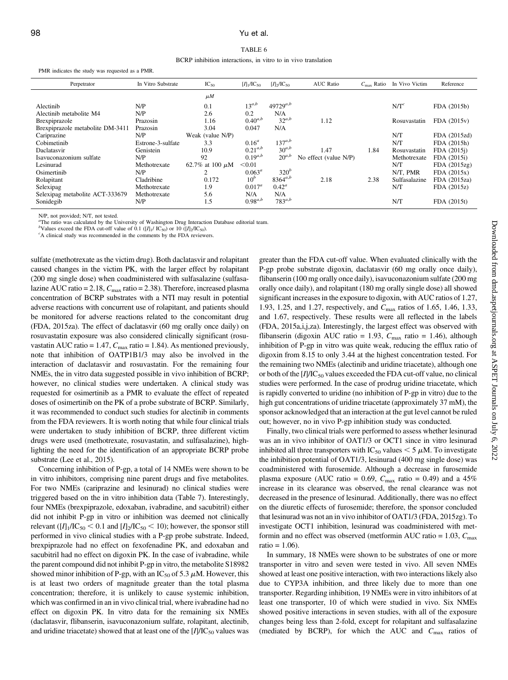#### 98 Yu et al.

#### TABLE 6

BCRP inhibition interactions, in vitro to in vivo translation

PMR indicates the study was requested as a PMR.

| Perpetrator                      | In Vitro Substrate | $IC_{50}$            | $[I]_1/IC_{50}$ | $[I]_2/I C_{50}$ | <b>AUC Ratio</b>      | $C_{\text{max}}$ Ratio | In Vivo Victim   | Reference    |
|----------------------------------|--------------------|----------------------|-----------------|------------------|-----------------------|------------------------|------------------|--------------|
|                                  |                    | $\mu$ <i>M</i>       |                 |                  |                       |                        |                  |              |
| Alectinib                        | N/P                | 0.1                  | $13^{a,b}$      | $49729^{a,b}$    |                       |                        | N/T <sup>c</sup> | FDA (2015b)  |
| Alectinib metabolite M4          | N/P                | 2.6                  | 0.2             | N/A              |                       |                        |                  |              |
| Brexpiprazole                    | Prazosin           | 1.16                 | $0.40^{a,b}$    | $32^{a,b}$       | 1.12                  |                        | Rosuvastatin     | FDA(2015v)   |
| Brexpiprazole metabolite DM-3411 | Prazosin           | 3.04                 | 0.047           | N/A              |                       |                        |                  |              |
| Cariprazine                      | N/P                | Weak (value N/P)     |                 |                  |                       |                        | N/T              | FDA (2015zd) |
| Cobimetinib                      | Estrone-3-sulfate  | 3.3                  | $0.16^a$        | $137^{a,b}$      |                       |                        | N/T              | FDA (2015h)  |
| Daclatasvir                      | Genistein          | 10.9                 | $0.21^{a,b}$    | $30^{a,b}$       | 1.47                  | 1.84                   | Rosuvastatin     | FDA (2015)   |
| Isavuconazonium sulfate          | N/P                | 92                   | $0.19^{a,b}$    | $20^{a,b}$       | No effect (value N/P) |                        | Methotrexate     | FDA (2015i)  |
| Lesinurad                        | Methotrexate       | 62.7% at 100 $\mu$ M | < 0.01          |                  |                       |                        | N/T              | FDA(2015zg)  |
| Osimertinib                      | N/P                | 2                    | $0.063^a$       | $320^b$          |                       |                        | N/T. PMR         | FDA(2015x)   |
| Rolapitant                       | Cladribine         | 0.172                | 10 <sup>b</sup> | $8364^{a,b}$     | 2.18                  | 2.38                   | Sulfasalazine    | FDA (2015za) |
| Selexipag                        | Methotrexate       | 1.9                  | $0.017^a$       | $0.42^a$         |                       |                        | N/T              | FDA(2015z)   |
| Selexipag metabolite ACT-333679  | Methotrexate       | 5.6                  | N/A             | N/A              |                       |                        |                  |              |
| Sonidegib                        | N/P                | 1.5                  | $0.98^{a,b}$    | $783^{a,b}$      |                       |                        | N/T              | FDA (2015t)  |

N/P, not provided; N/T, not tested.

<sup>a</sup>The ratio was calculated by the University of Washington Drug Interaction Database editorial team.

<sup>b</sup>Values exceed the FDA cut-off value of 0.1 ([ $I$ ]<sub>1</sub>/ IC<sub>50</sub>) or 10 ([ $I$ ]<sub>2</sub>/IC<sub>50</sub>).

<sup>c</sup>A clinical study was recommended in the comments by the FDA reviewers.

sulfate (methotrexate as the victim drug). Both daclatasvir and rolapitant caused changes in the victim PK, with the larger effect by rolapitant (200 mg single dose) when coadministered with sulfasalazine (sulfasalazine AUC ratio = 2.18,  $C_{\text{max}}$  ratio = 2.38). Therefore, increased plasma concentration of BCRP substrates with a NTI may result in potential adverse reactions with concurrent use of rolapitant, and patients should be monitored for adverse reactions related to the concomitant drug (FDA, 2015za). The effect of daclatasvir (60 mg orally once daily) on rosuvastatin exposure was also considered clinically significant (rosuvastatin AUC ratio = 1.47,  $C_{\text{max}}$  ratio = 1.84). As mentioned previously, note that inhibition of OATP1B1/3 may also be involved in the interaction of daclatasvir and rosuvastatin. For the remaining four NMEs, the in vitro data suggested possible in vivo inhibition of BCRP; however, no clinical studies were undertaken. A clinical study was requested for osimertinib as a PMR to evaluate the effect of repeated doses of osimertinib on the PK of a probe substrate of BCRP. Similarly, it was recommended to conduct such studies for alectinib in comments from the FDA reviewers. It is worth noting that while four clinical trials were undertaken to study inhibition of BCRP, three different victim drugs were used (methotrexate, rosuvastatin, and sulfasalazine), highlighting the need for the identification of an appropriate BCRP probe substrate (Lee et al., 2015).

Concerning inhibition of P-gp, a total of 14 NMEs were shown to be in vitro inhibitors, comprising nine parent drugs and five metabolites. For two NMEs (cariprazine and lesinurad) no clinical studies were triggered based on the in vitro inhibition data (Table 7). Interestingly, four NMEs (brexpiprazole, edoxaban, ivabradine, and sacubitril) either did not inhibit P-gp in vitro or inhibition was deemed not clinically relevant ( $[I]_1/IC_{50}$  < 0.1 and  $[I]_2/IC_{50}$  < 10); however, the sponsor still performed in vivo clinical studies with a P-gp probe substrate. Indeed, brexpiprazole had no effect on fexofenadine PK, and edoxaban and sacubitril had no effect on digoxin PK. In the case of ivabradine, while the parent compound did not inhibit P-gp in vitro, the metabolite S18982 showed minor inhibition of P-gp, with an  $IC_{50}$  of 5.3  $\mu$ M. However, this is at least two orders of magnitude greater than the total plasma concentration; therefore, it is unlikely to cause systemic inhibition, which was confirmed in an in vivo clinical trial, where ivabradine had no effect on digoxin PK. In vitro data for the remaining six NMEs (daclatasvir, flibanserin, isavuconazonium sulfate, rolapitant, alectinib, and uridine triacetate) showed that at least one of the  $[I]/IC_{50}$  values was greater than the FDA cut-off value. When evaluated clinically with the P-gp probe substrate digoxin, daclatasvir (60 mg orally once daily), flibanserin (100 mg orally once daily), isavuconazonium sulfate (200 mg orally once daily), and rolapitant (180 mg orally single dose) all showed significant increases in the exposure to digoxin, with AUC ratios of 1.27, 1.93, 1.25, and 1.27, respectively, and C<sub>max</sub> ratios of 1.65, 1.46, 1.33, and 1.67, respectively. These results were all reflected in the labels (FDA, 2015a,i,j,za). Interestingly, the largest effect was observed with flibanserin (digoxin AUC ratio = 1.93,  $C_{\text{max}}$  ratio = 1.46), although inhibition of P-gp in vitro was quite weak, reducing the efflux ratio of digoxin from 8.15 to only 3.44 at the highest concentration tested. For the remaining two NMEs (alectinib and uridine triacetate), although one or both of the  $[I]/IC_{50}$  values exceeded the FDA cut-off value, no clinical studies were performed. In the case of prodrug uridine triacetate, which is rapidly converted to uridine (no inhibition of P-gp in vitro) due to the high gut concentrations of uridine triacetate (approximately 37 mM), the sponsor acknowledged that an interaction at the gut level cannot be ruled out; however, no in vivo P-gp inhibition study was conducted.

Finally, two clinical trials were performed to assess whether lesinurad was an in vivo inhibitor of OAT1/3 or OCT1 since in vitro lesinurad inhibited all three transporters with IC<sub>50</sub> values  $<$  5  $\mu$ M. To investigate the inhibition potential of OAT1/3, lesinurad (400 mg single dose) was coadministered with furosemide. Although a decrease in furosemide plasma exposure (AUC ratio = 0.69,  $C_{\text{max}}$  ratio = 0.49) and a 45% increase in its clearance was observed, the renal clearance was not decreased in the presence of lesinurad. Additionally, there was no effect on the diuretic effects of furosemide; therefore, the sponsor concluded that lesinurad was not an in vivo inhibitor of OAT1/3 (FDA, 2015zg). To investigate OCT1 inhibition, lesinurad was coadministered with metformin and no effect was observed (metformin AUC ratio =  $1.03$ ,  $C_{\text{max}}$ )  $ratio = 1.06$ ).

In summary, 18 NMEs were shown to be substrates of one or more transporter in vitro and seven were tested in vivo. All seven NMEs showed at least one positive interaction, with two interactions likely also due to CYP3A inhibition, and three likely due to more than one transporter. Regarding inhibition, 19 NMEs were in vitro inhibitors of at least one transporter, 10 of which were studied in vivo. Six NMEs showed positive interactions in seven studies, with all of the exposure changes being less than 2-fold, except for rolapitant and sulfasalazine (mediated by BCRP), for which the AUC and  $C_{\text{max}}$  ratios of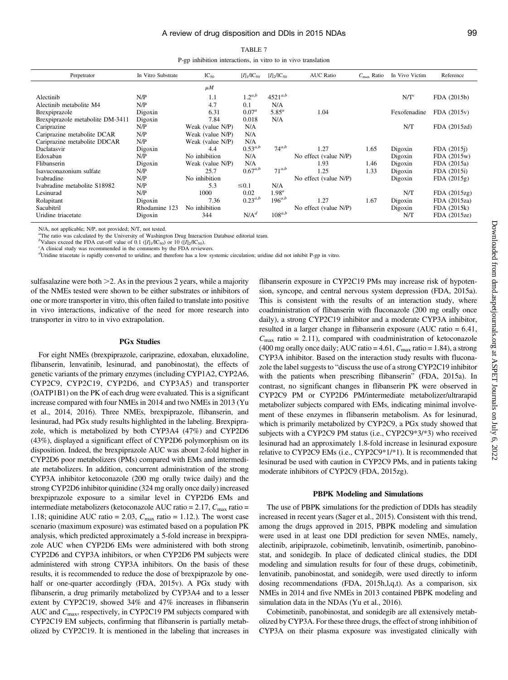P-gp inhibition interactions, in vitro to in vivo translation

| Perpetrator                      | In Vitro Substrate | $IC_{50}$        | $[I]_1/\text{IC}_{50}$ | $[I]_2/I C_{50}$  | <b>AUC Ratio</b>      | $C_{\text{max}}$ Ratio | In Vivo Victim   | Reference    |
|----------------------------------|--------------------|------------------|------------------------|-------------------|-----------------------|------------------------|------------------|--------------|
|                                  |                    | $\mu$ <i>M</i>   |                        |                   |                       |                        |                  |              |
| Alectinib                        | N/P                | 1.1              | $1.2^{a,b}$            | $4521^{a,b}$      |                       |                        | N/T <sup>c</sup> | FDA (2015b)  |
| Alectinib metabolite M4          | N/P                | 4.7              | 0.1                    | N/A               |                       |                        |                  |              |
| Brexpiprazole                    | Digoxin            | 6.31             | $0.07^a$               | $5.85^a$          | 1.04                  |                        | Fexofenadine     | FDA (2015v)  |
| Brexpiprazole metabolite DM-3411 | Digoxin            | 7.84             | 0.018                  | N/A               |                       |                        |                  |              |
| Cariprazine                      | N/P                | Weak (value N/P) | N/A                    |                   |                       |                        | N/T              | FDA (2015zd) |
| Cariprazine metabolite DCAR      | N/P                | Weak (value N/P) | N/A                    |                   |                       |                        |                  |              |
| Cariprazine metabolite DDCAR     | N/P                | Weak (value N/P) | N/A                    |                   |                       |                        |                  |              |
| Daclatasvir                      | Digoxin            | 4.4              | $0.53^{a,b}$           | $74^{a,b}$        | 1.27                  | 1.65                   | Digoxin          | FDA (2015)   |
| Edoxaban                         | N/P                | No inhibition    | N/A                    |                   | No effect (value N/P) |                        | Digoxin          | FDA (2015w)  |
| Flibanserin                      | Digoxin            | Weak (value N/P) | N/A                    |                   | 1.93                  | 1.46                   | Digoxin          | FDA (2015a)  |
| Isavuconazonium sulfate          | N/P                | 25.7             | $0.67^{a,b}$           | $71^{a,b}$        | 1.25                  | 1.33                   | Digoxin          | FDA (2015i)  |
| Ivabradine                       | N/P                | No inhibition    |                        |                   | No effect (value N/P) |                        | Digoxin          | FDA(2015g)   |
| Ivabradine metabolite S18982     | N/P                | 5.3              | $\leq 0.1$             | N/A               |                       |                        |                  |              |
| Lesinurad                        | N/P                | 1000             | 0.02                   | 1.98 <sup>a</sup> |                       |                        | N/T              | FDA(2015zg)  |
| Rolapitant                       | Digoxin            | 7.36             | $0.23^{a,b}$           | $196^{a,b}$       | 1.27                  | 1.67                   | Digoxin          | FDA (2015za) |
| Sacubitril                       | Rhodamine 123      | No inhibition    |                        |                   | No effect (value N/P) |                        | Digoxin          | FDA (2015k)  |
| Uridine triacetate               | Digoxin            | 344              | $N/A^d$                | $108^{a,b}$       |                       |                        | N/T              | FDA (2015ze) |

N/A, not applicable; N/P, not provided; N/T, not tested.

<sup>a</sup>The ratio was calculated by the University of Washington Drug Interaction Database editorial team.

b Values exceed the FDA cut-off value of 0.1  $([I]_1/IC_{50})$  or 10  $([I]_2/IC_{50})$ .

A clinical study was recommended in the comments by the FDA reviewers.

d Uridine triacetate is rapidly converted to uridine, and therefore has a low systemic circulation; uridine did not inhibit P-gp in vitro.

sulfasalazine were both  $\geq$  2. As in the previous 2 years, while a majority of the NMEs tested were shown to be either substrates or inhibitors of one or more transporter in vitro, this often failed to translate into positive in vivo interactions, indicative of the need for more research into transporter in vitro to in vivo extrapolation.

#### PGx Studies

For eight NMEs (brexpiprazole, cariprazine, edoxaban, eluxadoline, flibanserin, lenvatinib, lesinurad, and panobinostat), the effects of genetic variants of the primary enzymes (including CYP1A2, CYP2A6, CYP2C9, CYP2C19, CYP2D6, and CYP3A5) and transporter (OATP1B1) on the PK of each drug were evaluated. This is a significant increase compared with four NMEs in 2014 and two NMEs in 2013 (Yu et al., 2014, 2016). Three NMEs, brexpiprazole, flibanserin, and lesinurad, had PGx study results highlighted in the labeling. Brexpiprazole, which is metabolized by both CYP3A4 (47%) and CYP2D6 (43%), displayed a significant effect of CYP2D6 polymorphism on its disposition. Indeed, the brexpiprazole AUC was about 2-fold higher in CYP2D6 poor metabolizers (PMs) compared with EMs and intermediate metabolizers. In addition, concurrent administration of the strong CYP3A inhibitor ketoconazole (200 mg orally twice daily) and the strong CYP2D6 inhibitor quinidine (324 mg orally once daily) increased brexpiprazole exposure to a similar level in CYP2D6 EMs and intermediate metabolizers (ketoconazole AUC ratio =  $2.17$ ,  $C_{\text{max}}$  ratio = 1.18; quinidine AUC ratio = 2.03,  $C_{\text{max}}$  ratio = 1.12.). The worst case scenario (maximum exposure) was estimated based on a population PK analysis, which predicted approximately a 5-fold increase in brexpiprazole AUC when CYP2D6 EMs were administered with both strong CYP2D6 and CYP3A inhibitors, or when CYP2D6 PM subjects were administered with strong CYP3A inhibitors. On the basis of these results, it is recommended to reduce the dose of brexpiprazole by onehalf or one-quarter accordingly (FDA, 2015v). A PGx study with flibanserin, a drug primarily metabolized by CYP3A4 and to a lesser extent by CYP2C19, showed 34% and 47% increases in flibanserin AUC and  $C_{\text{max}}$ , respectively, in CYP2C19 PM subjects compared with CYP2C19 EM subjects, confirming that flibanserin is partially metabolized by CYP2C19. It is mentioned in the labeling that increases in

flibanserin exposure in CYP2C19 PMs may increase risk of hypotension, syncope, and central nervous system depression (FDA, 2015a). This is consistent with the results of an interaction study, where coadministration of flibanserin with fluconazole (200 mg orally once daily), a strong CYP2C19 inhibitor and a moderate CYP3A inhibitor, resulted in a larger change in flibanserin exposure (AUC ratio = 6.41,  $C_{\text{max}}$  ratio = 2.11), compared with coadministration of ketoconazole (400 mg orally once daily; AUC ratio = 4.61,  $C_{\text{max}}$  ratio = 1.84), a strong CYP3A inhibitor. Based on the interaction study results with fluconazole the label suggests to "discuss the use of a strong CYP2C19 inhibitor with the patients when prescribing flibanserin" (FDA, 2015a). In contrast, no significant changes in flibanserin PK were observed in CYP2C9 PM or CYP2D6 PM/intermediate metabolizer/ultrarapid metabolizer subjects compared with EMs, indicating minimal involvement of these enzymes in flibanserin metabolism. As for lesinurad, which is primarily metabolized by CYP2C9, a PGx study showed that subjects with a CYP2C9 PM status (i.e., CYP2C9\*3/\*3) who received lesinurad had an approximately 1.8-fold increase in lesinurad exposure relative to CYP2C9 EMs (i.e., CYP2C9\*1/\*1). It is recommended that lesinurad be used with caution in CYP2C9 PMs, and in patients taking moderate inhibitors of CYP2C9 (FDA, 2015zg).

#### PBPK Modeling and Simulations

The use of PBPK simulations for the prediction of DDIs has steadily increased in recent years (Sager et al., 2015). Consistent with this trend, among the drugs approved in 2015, PBPK modeling and simulation were used in at least one DDI prediction for seven NMEs, namely, alectinib, aripiprazole, cobimetinib, lenvatinib, osimertinib, panobinostat, and sonidegib. In place of dedicated clinical studies, the DDI modeling and simulation results for four of these drugs, cobimetinib, lenvatinib, panobinostat, and sonidegib, were used directly to inform dosing recommendations (FDA, 2015h,l,q,t). As a comparison, six NMEs in 2014 and five NMEs in 2013 contained PBPK modeling and simulation data in the NDAs (Yu et al., 2016).

Cobimetinib, panobinostat, and sonidegib are all extensively metabolized by CYP3A. For these three drugs, the effect of strong inhibition of CYP3A on their plasma exposure was investigated clinically with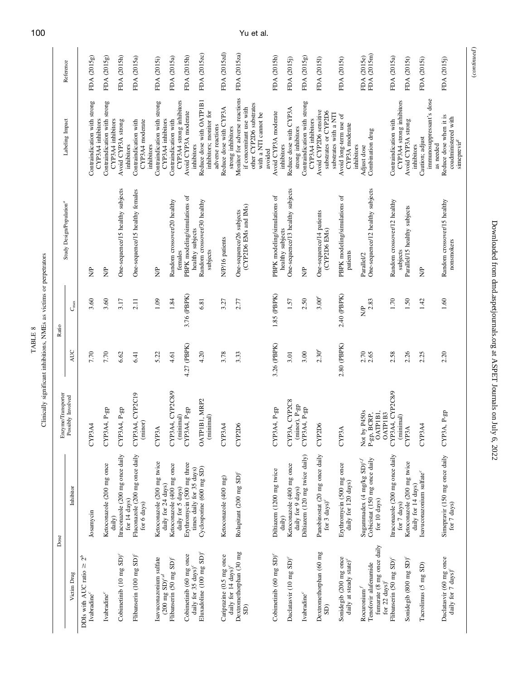| LIBA | or perpetra<br>š<br>.<br>TML:<br>i<br>Lihat |
|------|---------------------------------------------|
|------|---------------------------------------------|

|                    | Reference                            | FDA (2015g)                                                  | FDA (2015g)                                       | FDA (2015h)                                     | FDA (2015a)                                            | FDA (2015i)                                            | FDA (2015a)                                       | FDA (2015h)                                                | FDA (2015zc)                                                             | FDA (2015zd)                                                | FDA (2015za)                                                                                                           | FDA (2015h)                                      | FDA (2015j)                                    | FDA (2015g)                                       | FDA (2015I)                                                             | FDA (2015t)                                                   | FDA (2015e)<br>FDA (2015m)                                                                            | FDA (2015a)                                       | FDA (2015t)                                      | FDA (2015i)                                              | FDA (2015)                                                               |
|--------------------|--------------------------------------|--------------------------------------------------------------|---------------------------------------------------|-------------------------------------------------|--------------------------------------------------------|--------------------------------------------------------|---------------------------------------------------|------------------------------------------------------------|--------------------------------------------------------------------------|-------------------------------------------------------------|------------------------------------------------------------------------------------------------------------------------|--------------------------------------------------|------------------------------------------------|---------------------------------------------------|-------------------------------------------------------------------------|---------------------------------------------------------------|-------------------------------------------------------------------------------------------------------|---------------------------------------------------|--------------------------------------------------|----------------------------------------------------------|--------------------------------------------------------------------------|
|                    | Labeling Impact                      | Contraindication with strong<br>CYP3A4 inhibitors            | Contraindication with strong<br>CYP3A4 inhibitors | Avoid CYP3A strong<br>inhibitors                | Contraindication with<br>CYP3A4 moderate<br>inhibitors | Contraindication with strong<br>CYP3A4 inhibitors      | CYP3A4 strong inhibitors<br>Contraindication with | Avoid CYP3A moderate<br>inhibitors                         | Reduce dose with OATP1B1<br>inhibitors; monitor for<br>adverse reactions | Reduce dose with CYP3A<br>strong inhibitors                 | Monitor for adverse reactions<br>other CYP2D6 substrates<br>if concomitant use with<br>with a NTI cannot be<br>avoided | Avoid CYP3A moderate<br>inhibitors               | Reduce dose with CYP3A<br>strong inhibitors    | Contraindication with strong<br>CYP3A4 inhibitors | Avoid CYP2D6 sensitive<br>substrates or CYP2D6<br>substrates with a NTI | Avoid long-term use of<br>CYP3A moderate<br>inhibitors        | Combination drug<br>Adjust dose                                                                       | CYP3A4 strong inhibitors<br>Contraindication with | Avoid CYP3A strong<br>inhibitors                 | immunosuppressant's dose<br>Caution; adjust<br>as needed | Reduce dose when it is<br>coadministered with<br>simeprevir <sup>8</sup> |
|                    | Study Design/Population <sup>a</sup> | $\frac{1}{2}$                                                | $\frac{1}{2}$                                     | One-sequence/15 healthy subjects                | One-sequence/15 healthy females                        | S)                                                     | Random crossover/20 healthy<br>females            | PBPK modeling/simulations of<br>healthy subjects           | Random crossover/30 healthy<br>subjects                                  | N/P/16 patients                                             | (CYP2D6 EMs and IMs)<br>One-sequence/26 subjects                                                                       | PBPK modeling/simulations of<br>healthy subjects | One-sequence/13 healthy subjects               | S)                                                | One-sequence/14 patients<br>(CYP2D6 EMs)                                | PBPK modeling/simulations of<br>patients                      | One-sequence/12 healthy subjects<br>Parallel/2                                                        | Random crossover/12 healthy<br>subjects           | Parallel/15 healthy subjects                     | $\frac{1}{2}$                                            | Random crossover/15 healthy<br>nonsmokers                                |
| Ratio              | $C_{\max}$                           | 3.60                                                         | 3.60                                              | 3.17                                            | 2.11                                                   | 1.09                                                   | 1.84                                              | 3.76 (PBPK)                                                | 6.81                                                                     | 3.27                                                        | 2.77                                                                                                                   | 1.85 (PBPK)                                      | 1.57                                           | 2.50                                              | $3.00^e$                                                                | 2.40 (PBPK)                                                   | 2.83<br>Ş                                                                                             | 1.70                                              | 1.50                                             | 1.42                                                     | 1.60                                                                     |
|                    | AUC                                  | 7.70                                                         | 7.70                                              | 6.62                                            | 6.41                                                   | 5.22                                                   | 4.61                                              | 4.27 (PBPK)                                                | 4.20                                                                     | 3.78                                                        | 3.33                                                                                                                   | 3.26 (PBPK)                                      | 3.01                                           | 3.00                                              | 2.30 <sup>e</sup>                                                       | 2.80 (PBPK)                                                   | 2.70                                                                                                  | 2.58                                              | 2.26                                             | 2.25                                                     | 2.20                                                                     |
| Enzyme/Transporter | Possibly Involved                    | CYP3A4                                                       | CYP3A4, P-gp                                      | CYP3A4, P-gp                                    | CYP3A4, CYP2C19<br>(minor)                             | CYP3A                                                  | CYP3A4, CYP2C8/9<br>minimal)                      | CYP3A4, P-gp                                               | OATPIBI, MRP2<br>(minimal)                                               | CYP3A4                                                      | CYP2D6                                                                                                                 | CYP3A4, P-gp                                     | CYP3A, CYP2C8<br>(minor), P-gp                 | CYP3A4, P-gp                                      | CYP2D6                                                                  | <b>CYP3A</b>                                                  | by $P450s$<br><b>ATPIBI.</b><br>OATP1B3<br>Not by P450s<br>P-gp, BCRP,                                | CYP3A4, CYP2C8/9<br>(minimal)                     | CYP3A                                            | CYP3A4                                                   | CYP3A, P-gp                                                              |
|                    | Inhibitor                            | Josamycin                                                    | Ketoconazole (200 mg once<br>daily)               | Itraconazole (200 mg once daily<br>for 14 days) | Fluconazole (200 mg once daily<br>for 6 days)          | Ketoconazole (200 mg twice<br>daily for 24 days)       | Ketoconazole (400 mg once<br>daily for 5 days)    | Erythromycin (500 mg three<br>times daily for 35 days)     | Cyclosporine (600 mg SD)                                                 | Ketoconazole (400 mg)                                       | Rolapitant (200 mg SD) <sup>c</sup>                                                                                    | Diltiazem (1200 mg twice<br>daily)               | Ketoconazole (400 mg once<br>daily for 9 days) | Diltiazem (120 mg twice daily)                    | Panobinostat (20 mg once daily for 3 days) <sup>c</sup>                 | Erythromycin (500 mg once<br>daily for 120 days)              | Cobicistat (150 mg once daily<br>Sugammadex (4 mg/kg $SD)^{c,f}$<br>for 10 days)                      | Itraconazole (200 mg once daily<br>for 7 days)    | Ketoconazole (200 mg twice<br>daily for 14 days) | Isavuconazonium sulfate <sup>c</sup>                     | Simepravir (150 mg once daily<br>for 7 days)                             |
| Dose               | Victim Drug                          | 2 <sup>b</sup><br>DDIs with AUC ratio ≥<br>Ivabradine $\!c}$ | Ivabradine <sup>c</sup>                           | Cobimetinib (10 mg SD) <sup>c</sup>             | Flibanserin (100 mg SD) <sup>c</sup>                   | Isavuconazonium sulfate<br>$(200 \text{ mg SD})^{c,d}$ | Flibanserin (50 mg SD) <sup>c</sup>               | Cobimetinib (60 mg once<br>daily for 35 days) <sup>c</sup> | Eluxadoline (100 mg SD) <sup>c</sup>                                     | Cariprazine (0.5 mg once<br>daily for 14 days) <sup>c</sup> | Dextromethorphan (30 mg<br>SD)                                                                                         | Cobimetinib (60 mg SD) <sup>c</sup>              | Daclatasvir (10 mg SD) <sup>c</sup>            | Ivabradine <sup>c</sup>                           | Dextromethorphan (60 mg<br>$\widehat{\mathrm{SD}}$                      | Sonidegib (200 mg once<br>daily at steady state) <sup>c</sup> | fumarate (8 mg once daily<br>Tenofovir alafenamide<br>for 22 $\rm days)^c$<br>Rocuronium <sup>1</sup> | Flibanserin (50 mg SD) <sup>c</sup>               | Sonidegib (800 mg SD) <sup>c</sup>               | Tacrolimus (5 mg SD)                                     | Daclatasvir (60 mg once<br>daily for 7 days) <sup>c</sup>                |

100 Yu et al.

 $\left( continued\right)$ (continued )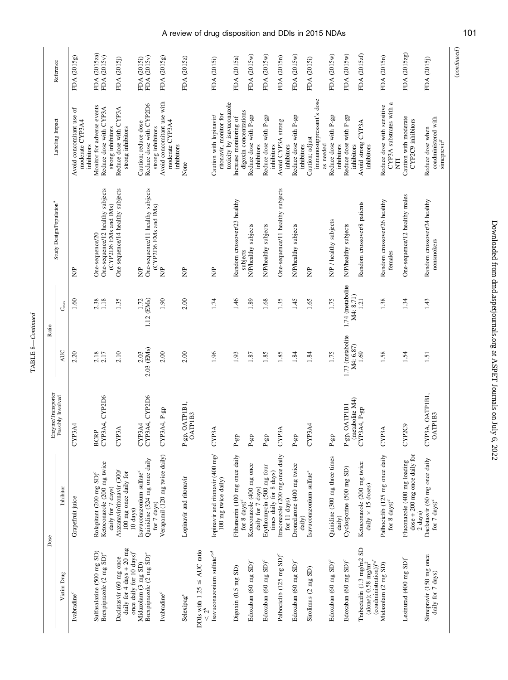| ¢<br>Ξ |  |
|--------|--|

| Reference                               |               | FDA (2015g)                                               | FDA (2015za)<br>FDA (2015v)                                                            | FDA (2015j)                                                                                     | FDA (2015v)<br>FDA (2015i)                                                          | FDA (2015g)                                                 | FDA (2015z)                                               | FDA (2015i)                                             | FDA (2015a)<br>toxicity by isavuconazole | FDA (2015w)                                      | FDA (2015w)                                               | FDA (2015n)                                                | FDA (2015w)                               | FDA (2015i)<br>immunosuppressant's dose        | FDA (2015w)                                      | FDA (2015w)                                   | FDA (2015zf)                                                            | FDA (2015n)                                                                              | FDA (2015zg)                                                                       |
|-----------------------------------------|---------------|-----------------------------------------------------------|----------------------------------------------------------------------------------------|-------------------------------------------------------------------------------------------------|-------------------------------------------------------------------------------------|-------------------------------------------------------------|-----------------------------------------------------------|---------------------------------------------------------|------------------------------------------|--------------------------------------------------|-----------------------------------------------------------|------------------------------------------------------------|-------------------------------------------|------------------------------------------------|--------------------------------------------------|-----------------------------------------------|-------------------------------------------------------------------------|------------------------------------------------------------------------------------------|------------------------------------------------------------------------------------|
| Labeling Impact                         |               | Avoid concomitant use of<br>moderate CYP3A4<br>inhibitors | Monitor for adverse events<br>Reduce dose with CYP3A<br>strong inhibitors              | Reduce dose with CYP3A<br>strong inhibitors                                                     | Reduce dose with CYP2D6<br>Caution; reduce dose<br>strong inhibitors                | Avoid concomitant use with<br>moderate CYP3A4<br>inhibitors | None                                                      | ritonavir, monitor for<br>Caution with lopinavir/       | Increase monitoring of                   | digoxin concentrations<br>Reduce dose with P-gp  | Reduce dose with P-gp<br>inhibitors                       | Avoid CYP3A strong<br>inhibitors<br>inhibitors             | Reduce dose with P-gp<br>inhibitors       | Caution; adjust                                | Reduce dose with P-gp<br>as needed<br>inhibitors | Reduce dose with P-gp<br>inhibitors           | Avoid strong CYP3A<br>inhibitors                                        | CYP3A substrates with a<br>Reduce dose with sensitive                                    | Caution with moderate<br>CYP2C9 inhibitors<br>Ę                                    |
| Study Design/Population <sup>"</sup>    |               | \$                                                        | One-sequence/12 healthy subjects<br>(CYP2D6 EMs and IMs)<br>One-sequence/20            | One-sequence/14 healthy subjects                                                                | One-sequence/11 healthy subjects<br>(CYP2D6 EMs and IMs)<br>S)                      | $\frac{P}{Z}$                                               | ₿,                                                        | $\frac{1}{2}$                                           | Random crossover/23 healthy              | N/P/healthy subjects<br>subjects                 | N/P/healthy subjects                                      | One-sequence/11 healthy subjects                           | N/P/healthy subjects                      | \$                                             | N/P / healthy subjects                           | N/P/healthy subjects                          | Random crossover/8 patients                                             | Random crossover/26 healthy<br>temales                                                   | One-sequence/12 healthy males                                                      |
| Ratio                                   | $C_{\rm max}$ | $1.60\,$                                                  | 2.38                                                                                   | 1.35                                                                                            | 1.12 (EMs)<br>1.72                                                                  | 1.90                                                        | 2.00                                                      | 1.74                                                    | 1.46                                     | 1.89                                             | 1.68                                                      | 1.35                                                       | 1.45                                      | 1.65                                           | 1.75                                             | 1.74 (metabolite<br>M4: 8.71)                 | 121                                                                     | 1.38                                                                                     | 1.34                                                                               |
|                                         | AUC           | 2.20                                                      | $2.18$<br>$2.17$                                                                       | 2.10                                                                                            | 2.03 (EMs)<br>2.03                                                                  | 2.00                                                        | 2.00                                                      | 1.96                                                    | 1.93                                     | 1.87                                             | 1.85                                                      | 1.85                                                       | 1.84                                      | 1.84                                           | 1.75                                             | 1.73 (metabolite<br>M4: 6.87)                 | 1.69                                                                    | 1.58                                                                                     | 1.54                                                                               |
| Enzyme/Transporter<br>Possibly Involved |               | CYP3A4                                                    | CYP3A4, CYP2D6<br><b>BCRP</b>                                                          | <b>CYP3A</b>                                                                                    | CYP3A4, CYP2D6<br>CYP3A4                                                            | CYP3A4, P-gp                                                | OATPIBI,<br>$P-gp$ , OA 1 r 1.<br>OATPIB3                 | <b>CYP3A</b>                                            | $\mathbf{P}\text{-}\mathbf{gp}$          | $\mathbf{P}\text{-}\mathbf{g}\mathbf{p}$         | $\ensuremath{\mathsf{P}}\ensuremath{\text{-}\mathrm{gp}}$ | <b>CYP3A</b>                                               | $\mathbf{P}\text{-}\mathbf{gp}$           | CYP3A4                                         | $\mathbf{P}\text{-}\mathbf{gp}$                  | (metabolite M4)<br><b>OATPIBI</b><br>$P$ -gp, | CYP3A4, P-gp                                                            | <b>CYP3A</b>                                                                             | CYP2C9                                                                             |
| Dose                                    | Inhibitor     | Grapefruit juice                                          | Ketoconazole (200 mg twice<br>Rolapitant (200 mg SD) <sup>c</sup><br>daily for 7 days) | Atazanavir/ritonavir (300/<br>100 mg once daily for<br>$10 \text{ days}$                        | Quinidine (324 mg once daily<br>Isavuconazonium sulfate <sup>c</sup><br>for 7 days) | Verapamil (120 mg twice daily)                              | Lopinavir and ritonavir                                   | lopinavir and ritonavir (400 mg/<br>100 mg twice daily) | Flibanserin (100 mg once daily           | Ketoconazole (400 mg once<br>for 8 $\rm days)^c$ | Erythromycin (500 mg four<br>daily for 7 days)            | Itraconazole (200 mg once daily<br>times daily for 8 days) | Dronedarone (400 mg twice<br>for 11 days) | Isavuconazonium sulfate <sup>c</sup><br>daily) | Quinidine (300 mg three times<br>daily)          | Cyclosporine (500 mg SD)                      | Ketoconazole $(200 \text{ mg twice}$ daily $\times$ 15 doses)           | Palbociclib (125 mg once daily<br>for 8 days) <sup><math>c</math></sup>                  | $dose + 200$ mg once daily for<br>Fluconazole (400 mg loading<br>$2 \;{\rm days})$ |
|                                         | Victim Drug   | Ivabradine <sup>c</sup>                                   | Sulfasalazine (500 mg SD)<br>Brexpiprazole (2 mg SD) <sup>c</sup>                      | daily for $4$ days $+ 20$ mg<br>once daily for 10 days) <sup>c</sup><br>Daclatasvir (60 mg once | Brexpiprazole (2 mg SD) <sup>c</sup><br>Midazolam (3 mg SD)                         | Ivabradine <sup>c</sup>                                     | DDIs with $1.25 \leq AUC$ ratio<br>Selexipag <sup>c</sup> | Isavuconazonium sulfate <sup>c,d</sup>                  | Digoxin (0.5 mg SD)                      | Edoxaban (60 mg SD) <sup>c</sup>                 | Edoxaban (60 mg SD) <sup>c</sup>                          | Palbociclib (125 mg SD) <sup>c</sup>                       | Edoxaban (60 mg SD) <sup>c</sup>          | Sirolimus (2 mg SD)                            | Edoxaban (60 mg SD) <sup>c</sup>                 | Edoxaban (60 mg SD) <sup>c</sup>              | Trabectedin $(1.3 \text{ mg/m2 SD})$<br>(alone); 0.58 mg/m <sup>2</sup> | $(\mathop{\mathrm{codministration}}\nolimits))^{{\mathfrak c} f}$<br>Midazolam (2 mg SD) | Lesinurad (400 mg SD) <sup>c</sup>                                                 |

 $\label{eq:constrained} (continued)$ (continued )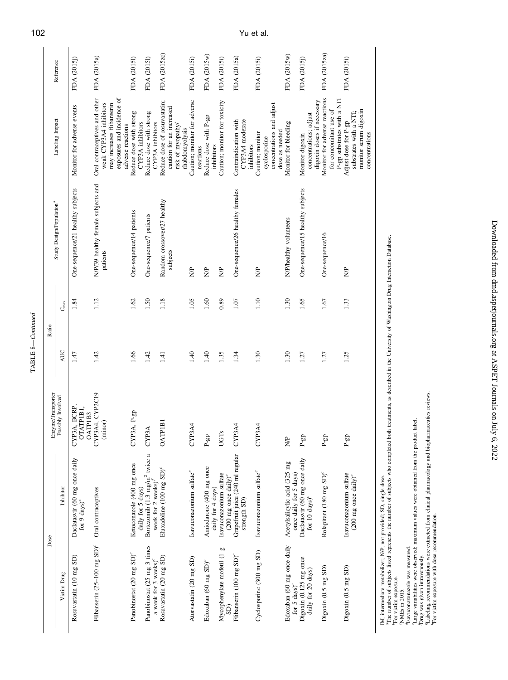| Reference          |                                      | FDA (2015)                                                | FDA (2015a)                                                                                                                             | FDA (20151)                                    | FDA (2015I)                                                                                | FDA (2015zc)                                                                                    | FDA (2015i)                               | FDA (2015w)                                  | FDA (2015i)                   | FDA (2015a)                                                                                            | FDA (2015i)                                                                     | FDA (2015w)                                            | FDA (2015j)                                                             | FDA (2015za)                                                                          | FDA (2015i)                                                                               |
|--------------------|--------------------------------------|-----------------------------------------------------------|-----------------------------------------------------------------------------------------------------------------------------------------|------------------------------------------------|--------------------------------------------------------------------------------------------|-------------------------------------------------------------------------------------------------|-------------------------------------------|----------------------------------------------|-------------------------------|--------------------------------------------------------------------------------------------------------|---------------------------------------------------------------------------------|--------------------------------------------------------|-------------------------------------------------------------------------|---------------------------------------------------------------------------------------|-------------------------------------------------------------------------------------------|
|                    | Labeling Impact                      | Monitor for adverse events                                | exposures and incidence of<br>Oral contraceptives and other<br>weak CYP3A4 inhibitors<br>may increases flibanserin<br>adverse reactions | Reduce dose with strong<br>CYP3A inhibitors    | Reduce dose with strong<br>CYP3A inhibitors                                                | Reduce dose of rosuvastatin;<br>caution for an increased<br>risk of myopathy/<br>rhabdomyolysis | Caution; monitor for adverse<br>reactions | Reduce dose with P-gp<br>inhibitors          | Caution; monitor for toxicity | CYP3A4 moderate<br>Contraindication with<br>inhibitors                                                 | concentrations and adjust<br>dose as needed<br>Caution; monitor<br>cyclosporine | Monitor for bleeding                                   | digoxin doses if necessary<br>concentrations; adjust<br>Monitor digoxin | Monitor for adverse reactions<br>P-gp substrates with a NTI<br>for concomitant use of | monitor serum digoxin<br>substrates with a NTI;<br>Adjust dose for P-gp<br>concentrations |
|                    | Study Design/Population <sup>a</sup> | One-sequence/21 healthy subjects                          | N/P/39 healthy female subjects and<br>patients                                                                                          | One-sequence/14 patients                       | One-sequence/7 patients                                                                    | Random crossover/27 healthy<br>subjects                                                         | $\frac{1}{2}$                             | $\frac{1}{2}$                                | $\frac{1}{2}$                 | One-sequence/26 healthy females                                                                        | $\frac{1}{2}$                                                                   | N/P/healthy volunteers                                 | One-sequence/15 healthy subjects                                        | One-sequence/16                                                                       | $\frac{1}{2}$                                                                             |
|                    | $C_{\rm max}$                        | 1.84                                                      | 1.12                                                                                                                                    | 1.62                                           | 1.50                                                                                       | 1.18                                                                                            | 1.05                                      | 1.60                                         | 0.89                          | 1.07                                                                                                   | 1.10                                                                            | 1.30                                                   | 1.65                                                                    | 1.67                                                                                  | 1.33                                                                                      |
| Ratio              | AUC                                  | 1.47                                                      | 1.42                                                                                                                                    | 1.66                                           | 1.42                                                                                       | 1.41                                                                                            | 1.40                                      | 1.40                                         | 1.35                          | 1.34                                                                                                   | 1.30                                                                            | 1.30                                                   | 1.27                                                                    | 1.27                                                                                  | 1.25                                                                                      |
| Enzyme/Transporter | Possibly Involved                    | CYP3A, BCRP,<br>OTATPIBI,<br>OATPIB3                      | CYP3A4, CYP2C19<br>(minor)                                                                                                              | CYP3A, P-gp                                    | <b>CYP3A</b>                                                                               | <b>OATPIB</b>                                                                                   | CYP3A4                                    | $P$ gp                                       | <b>UGTs</b>                   | CYP3A4                                                                                                 | CYP3A4                                                                          | Ŝ,                                                     | $P-gp$                                                                  | $P$ -gp                                                                               | $P-gp$                                                                                    |
|                    | Inhibitor                            | Daclatasvir (60 mg once daily<br>for 9 $\mathrm{days})^c$ | Oral contraceptives                                                                                                                     | Ketoconazole (400 mg once<br>daily for 5 days) | Bortezomib (1.3 mg/m <sup>2</sup> twice a<br>week for $2$ weeks) <sup><math>f</math></sup> | Eluxadoline (100 mg SD) <sup>c</sup>                                                            | Isavuconazonium sulfate <sup>c</sup>      | Amiodarone (400 mg once<br>daily for 4 days) | Isavuconazonium sulfate       | $(200 \text{ mg} \text{ once daily})^c$<br>Grapefruit juice $(240 \text{ ml regular})$<br>strength SD) | Isavuconazonium sulfate <sup>c</sup>                                            | Acetylsalicylic acid (325 mg<br>once daily for 5 days) | Daclatasvir (60 mg once daily<br>for 10 $\mathrm{days})^c$              | Rolapitant (180 mg SD) <sup>c</sup>                                                   | Isavuconazonium sulfate<br>$(200 \text{ mg once daily})^c$                                |
| Dose               | Victim Drug                          | Rosuvastatin (10 mg SD)                                   | Flibanserin (25-100 mg SD) <sup>c</sup>                                                                                                 | Panobinostat (20 mg SD) <sup>c</sup>           | Panobinostat (25 mg 3 times<br>a week for 3 weeks) <sup>c</sup>                            | Rosuvastatin (20 mg SD)                                                                         | Atorvastatin (20 mg SD)                   | Edoxaban (60 mg SD) <sup>c</sup>             | Mycophenylate mofetil (1 g    | Flibanserin (100 mg SD) <sup>c</sup>                                                                   | Cyclosporine (300 mg SD)                                                        | Edoxaban (60 mg once daily<br>for 5 $\rm days)^c$      | Digoxin (0.125 mg once<br>daily for 20 days)                            | Digoxin (0.5 mg SD)                                                                   | Digoxin (0.5 mg SD)                                                                       |

IM, internediate metabolizer; MP, not provided; SD, single dose.<br>"The number of subjects listed represents the number of subjects who completed both treatments, as described in the University of Washington Drug Interaction IM, intermediate metabolizer; N/P, not provided; SD, single dose.

aThe number of subjects listed represents the number of subjects who completed both treatments, as described in the University of Washington Drug Interaction Database.

bFor victim exposure.

cNMEs in 2015. dIsavuconazonazole was measured.

eLarge variabilities were observed; maximum values were obtained from the product label.

fDrug was given intravenously.

gLabeling recommendations were extracted from clinical pharmacology and biopharmaceutics reviews.

hFor victim exposure with dose recommendation.

TABLE 8—Continued

 ${\tt TABLE~8—Continued}$ 

Downloaded from dmd.aspetjournals.org at ASPET Journals on July 6, 2022 Downloaded from [dmd.aspetjournals.org](http://dmd.aspetjournals.org/) at ASPET Journals on July 6, 2022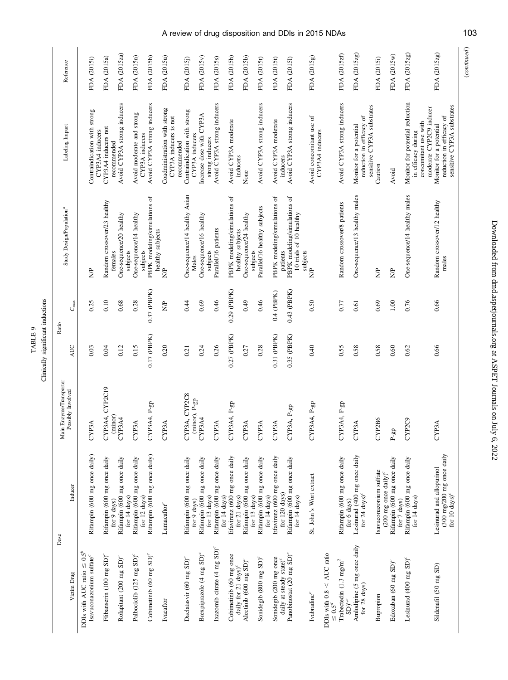|             | ā            |
|-------------|--------------|
| 日<br>i<br>F | ř,<br>⋍<br>5 |
|             |              |

|                                                                     | Dose                                                                                | Main Enzyme/Transporter                            | Ratio         |               |                                                                     |                                                                                                          |              |
|---------------------------------------------------------------------|-------------------------------------------------------------------------------------|----------------------------------------------------|---------------|---------------|---------------------------------------------------------------------|----------------------------------------------------------------------------------------------------------|--------------|
| Victim Drug                                                         | Inducer                                                                             | Possibly Involved                                  | AUC           | $C_{\rm max}$ | Study Design/Population <sup>a</sup>                                | Labeling Impact                                                                                          | Reference    |
| $\leq 0.5^b$<br>Isavuconazonium sulfate $^c$<br>DDIs with AUC ratio | Rifampin (600 mg once daily)                                                        | <b>CYP3A</b>                                       | 0.03          | 0.25          | \$                                                                  | Contraindication with strong                                                                             | FDA (2015i)  |
| Flibanserin (100 mg SD) <sup>c</sup>                                | Rifampin (600 mg once daily                                                         | CYP3A4, CYP2C19                                    | 0.04          | 0.10          | Random crossover/23 healthy                                         | CYP3A4 inducers not<br>CYP3A4 inducers                                                                   | FDA (2015a)  |
| Rolapitant (200 mg SD) <sup>c</sup>                                 | Rifampin (600 mg once daily<br>for 14 days)<br>for 9 days)                          | (minor)<br>CYP3A4                                  | 0.12          | 0.68          | One-sequence/20 healthy<br>subjects<br>females                      | Avoid CYP3A strong inducers<br>recommended                                                               | FDA (2015za) |
| Palbociclib (125 mg SD) <sup>c</sup>                                | Rifampin (600 mg once daily<br>for 12 days)                                         | <b>CYP3A</b>                                       | 0.15          | 0.28          | One-sequence/14 healthy                                             | Avoid moderate and strong<br>CYP3A inducers                                                              | FDA (2015n)  |
| Cobimetinib (60 mg $SD$ ) <sup>c</sup>                              | Rifampin (600 mg once daily)                                                        | CYP3A4, P-gp                                       | $0.17$ (PBPK) | 0.37 (PBPK)   | PBPK modeling/simulations of<br>healthy subjects<br>subjects        | Avoid CYP3A strong inducers                                                                              | FDA (2015h)  |
| Ivacaftor                                                           | Lumacaftor <sup>c</sup>                                                             | <b>CYP3A</b>                                       | 0.20          | $\frac{1}{2}$ | e<br>Z                                                              | Coadministration with strong<br>CYP3A inducers is not<br>recommended                                     | FDA (2015u)  |
| Daclatasvir (60 mg SD) <sup>c</sup>                                 | Rifampin (600 mg once daily<br>for 9 days)                                          | CYP3A, CYP2C8<br>(minor), P-gp                     | 0.21          | 0.44          | One-sequence/14 healthy Asian<br>Males                              | Contraindication with strong<br>CYP3A inducers                                                           | FDA (2015j)  |
| Brexpiprazole (4 mg SD) <sup>c</sup>                                | Rifampin (600 mg once daily<br>for 13 days)                                         | CYP3A4                                             | 0.24          | 0.69          | One-sequence/16 healthy<br>subjects                                 | Increase dose with CYP3A<br>strong inducers                                                              | FDA (2015v)  |
| Ixazomib citrate (4 mg SD) <sup>c</sup>                             | Rifampin (600 mg once daily<br>for 14 days)                                         | <b>CYP3A</b>                                       | 0.26          | 0.46          | Parallel/16 patients                                                | Avoid CYP3A strong inducers                                                                              | FDA (2015s)  |
| Cobimetinib (60 mg once<br>daily for 21 days) <sup>c</sup>          | Efavirenz (600 mg once daily<br>for 21 days)                                        | CYP3A4, P-gp                                       | $0.27$ (PBPK) | $0.29$ (PBPK) | PBPK modeling/simulations of<br>healthy subjects                    | Avoid CYP3A moderate<br>inducers                                                                         | FDA (2015h)  |
| Alectinib (600 mg SD) <sup>c</sup>                                  | Rifampin (600 mg once daily<br>for 13 days)                                         | <b>CYP3A</b>                                       | 0.27          | 0.49          | One-sequence/24 healthy<br>subjects                                 | None                                                                                                     | FDA (2015b)  |
| Sonidegib (800 mg SD) <sup>c</sup>                                  | Rifampin (600 mg once daily<br>for 14 days)                                         | <b>CYP3A</b>                                       | 0.28          | 0.46          | Parallel/16 healthy subjects                                        | Avoid CYP3A strong inducers                                                                              | FDA (2015t)  |
| Sonidegib (200 mg once<br>daily at steady state) <sup>c</sup>       | Efavirenz (600 mg once daily<br>for 120 days)                                       | CYP3A                                              | $0.31$ (PBPK) | $0.4$ (PBPK)  | PBPK modeling/simulations of<br>patients                            | Avoid CYP3A moderate<br>inducers                                                                         | FDA (2015t)  |
| Panobinostat (20 mg SD) <sup>c</sup>                                | Rifampin (600 mg once daily<br>for $14 \text{ days}$                                | CYP3A, P-gp                                        | $0.35$ (PBPK) | $0.43$ (PBPK) | PBPK modeling/simulations of<br>10 trials of 10 healthy<br>subjects | Avoid CYP3A strong inducers                                                                              | FDA (2015I)  |
| DDIs with $0.8 <$ AUC ratio $\leq 0.5^d$<br>Ivabradine <sup>c</sup> | St. John's Wort extract                                                             | CYP3A4, P-gp                                       | 0.40          | 0.50          | e<br>Z                                                              | Avoid concomitant use of<br>CYP3A4 inducers                                                              | FDA (2015g)  |
|                                                                     |                                                                                     |                                                    |               |               |                                                                     |                                                                                                          |              |
| Trabectedin (1.3 mg/m <sup>2</sup><br>$\mathrm{SD})^{c, e}$         | Rifampin (600 mg once daily<br>for 6 days)                                          | CYP3A4, P-gp                                       | 0.55          | 0.77          | Random crossover/8 patients                                         | Avoid CYP3A strong inducers                                                                              | FDA (2015zf) |
| Amlodipine (5 mg once daily<br>for 28 days)                         | Lesinurad (400 mg once daily<br>for 24 $\rm days)^c$                                | <b>CYP3A</b>                                       | 0.58          | 0.61          | One-sequence/13 healthy males                                       | sensitive CYP3A substrates<br>reduction in efficacy of<br>Monitor for a potential                        | FDA (2015zg) |
| Bupropion                                                           | Isavuconazonium sulfate<br>$(200 \text{ mg once daily})^c$                          | CYP2B6                                             | 0.58          | 0.69          | $\frac{P}{Z}$                                                       | Caution                                                                                                  | FDA (2015i)  |
| Edoxaban (60 mg SD) <sup>c</sup>                                    | Rifampin (600 mg once daily<br>for 7 days)                                          | $\ensuremath{\mathsf{P}}\ensuremath{\mathsf{-gp}}$ | 0.60          | 1.00          | $\frac{1}{2}$                                                       | Avoid                                                                                                    | FDA (2015w)  |
| Lesinurad (400 mg SD) <sup>c</sup>                                  | Rifampin (600 mg once daily<br>for 14 days)                                         | CYP2C9                                             | 0.62          | 0.76          | One-sequence/14 healthy males                                       | Monitor for potential reduction<br>moderate CYP2C9 inducer<br>concomitant use with<br>in efficacy during | FDA (2015zg) |
| Sildenafil (50 mg SD)                                               | (300 mg/200 mg once daily<br>Lesinurad and allopurinol<br>for 10 $\mathrm{days})^c$ | <b>CYP3A</b>                                       | 0.66          | 0.66          | Random crossover/12 healthy<br>males                                | sensitive CYP3A substrates<br>reduction in efficacy of<br>Monitor for a potential                        | FDA (2015zg) |

 $\label{eq:constrained} (continued)$ (continued )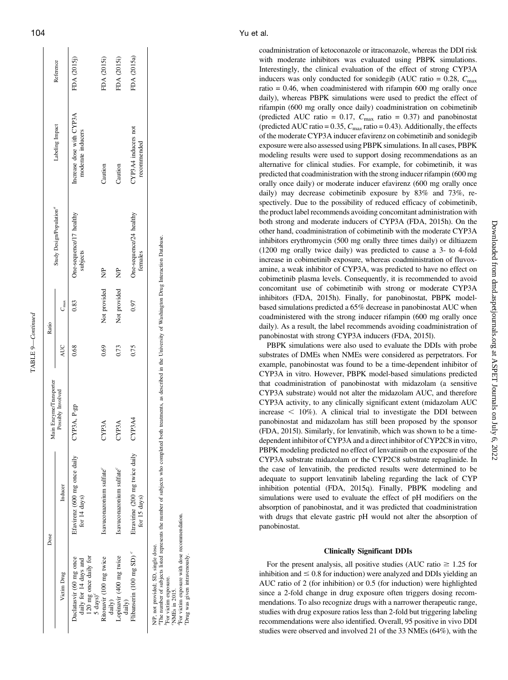| Dose                                           |                                                                                                                                                                         |      | Ratio               |                                      |                                               |             |
|------------------------------------------------|-------------------------------------------------------------------------------------------------------------------------------------------------------------------------|------|---------------------|--------------------------------------|-----------------------------------------------|-------------|
|                                                | Aain Enzyme/Transporter                                                                                                                                                 |      |                     | Study Design/Population <sup>a</sup> |                                               | Reference   |
| Inducer                                        | Possibly Involved                                                                                                                                                       | AUC  | $\mathbf{v}_{\max}$ |                                      | Labeling Impact                               |             |
| Efavirenz (600 mg once daily<br>for 14 days)   | CYP3A, P-gp                                                                                                                                                             | 0.68 | 0.83                | One-sequence/17 healthy<br>subjects  | Increase dose with CYP3A<br>moderate inducers | FDA (2015j) |
| Isavuconazonium sulfate <sup>c</sup>           | $\mathrm{CYP3A}$                                                                                                                                                        | 0.69 | Not provided        | $\frac{1}{2}$                        | Caution                                       | FDA (2015i) |
| Isavuconazonium sulfate <sup>c</sup>           | CYP3A                                                                                                                                                                   | 0.73 | Not provided        | $\frac{1}{2}$                        | Caution                                       | FDA (2015i) |
| Etravirine (200 mg twice daily<br>for 15 days) | CYP3A4                                                                                                                                                                  | 0.75 | 0.97                | One-sequence/24 healthy<br>females   | CYP3A4 inducers not<br>recommended            | FDA (2015a) |
|                                                | "The number of subjects listed represents the number of subjects who completed both treatments, as described in the University of Washington Drug Interaction Database. |      |                     |                                      |                                               |             |

cNMEs in 2015.

NMEs in 2015.

dFor victim exposure with dose recommendation.

For victim exposure with dose recommendation

eDrug was given intravenously.

Drug was given intravenously.

TABLE 9—Continued

TABLE 9-Continued

with moderate inhibitors was evaluated using PBPK simulations. Interestingly, the clinical evaluation of the effect of strong CYP3A inducers was only conducted for sonidegib (AUC ratio =  $0.28$ ,  $C_{\text{max}}$ ) ratio  $= 0.46$ , when coadministered with rifampin 600 mg orally once daily), whereas PBPK simulations were used to predict the effect of rifampin (600 mg orally once daily) coadministration on cobimetinib (predicted AUC ratio =  $0.17$ ,  $C_{\text{max}}$  ratio = 0.37) and panobinostat (predicted AUC ratio =  $0.35$ ,  $C_{\text{max}}$  ratio = 0.43). Additionally, the effects of the moderate CYP3A inducer efavirenz on cobimetinib and sonidegib exposure were also assessed using PBPK simulations. In all cases, PBPK modeling results were used to support dosing recommendations as an alternative for clinical studies. For example, for cobimetinib, it was predicted that coadministration with the strong inducer rifampin (600 mg orally once daily) or moderate inducer efavirenz (600 mg orally once daily) may decrease cobimetinib exposure by 83% and 73%, respectively. Due to the possibility of reduced efficacy of cobimetinib, the product label recommends avoiding concomitant administration with both strong and moderate inducers of CYP3A (FDA, 2015h). On the other hand, coadministration of cobimetinib with the moderate CYP3A inhibitors erythromycin (500 mg orally three times daily) or diltiazem (1200 mg orally twice daily) was predicted to cause a 3- to 4-fold increase in cobimetinib exposure, whereas coadministration of fluvoxamine, a weak inhibitor of CYP3A, was predicted to have no effect on cobimetinib plasma levels. Consequently, it is recommended to avoid concomitant use of cobimetinib with strong or moderate CYP3A inhibitors (FDA, 2015h). Finally, for panobinostat, PBPK modelbased simulations predicted a 65% decrease in panobinostat AUC when coadministered with the strong inducer rifampin (600 mg orally once daily). As a result, the label recommends avoiding coadministration of panobinostat with strong CYP3A inducers (FDA, 2015l).

coadministration of ketoconazole or itraconazole, whereas the DDI risk

PBPK simulations were also used to evaluate the DDIs with probe substrates of DMEs when NMEs were considered as perpetrators. For example, panobinostat was found to be a time-dependent inhibitor of CYP3A in vitro. However, PBPK model-based simulations predicted that coadministration of panobinostat with midazolam (a sensitive CYP3A substrate) would not alter the midazolam AUC, and therefore CYP3A activity, to any clinically significant extent (midazolam AUC  $increases < 10\%$ ). A clinical trial to investigate the DDI between panobinostat and midazolam has still been proposed by the sponsor (FDA, 2015l). Similarly, for lenvatinib, which was shown to be a timedependent inhibitor of CYP3A and a direct inhibitor of CYP2C8 in vitro, PBPK modeling predicted no effect of lenvatinib on the exposure of the CYP3A substrate midazolam or the CYP2C8 substrate repaglinide. In the case of lenvatinib, the predicted results were determined to be adequate to support lenvatinib labeling regarding the lack of CYP inhibition potential (FDA, 2015q). Finally, PBPK modeling and simulations were used to evaluate the effect of pH modifiers on the absorption of panobinostat, and it was predicted that coadministration with drugs that elevate gastric pH would not alter the absorption of panobinostat.

#### Clinically Significant DDIs

For the present analysis, all positive studies (AUC ratio  $\geq 1.25$  for inhibition and  $\leq 0.8$  for induction) were analyzed and DDIs yielding an AUC ratio of 2 (for inhibition) or 0.5 (for induction) were highlighted since a 2-fold change in drug exposure often triggers dosing recommendations. To also recognize drugs with a narrower therapeutic range, studies with drug exposure ratios less than 2-fold but triggering labeling recommendations were also identified. Overall, 95 positive in vivo DDI studies were observed and involved 21 of the 33 NMEs (64%), with the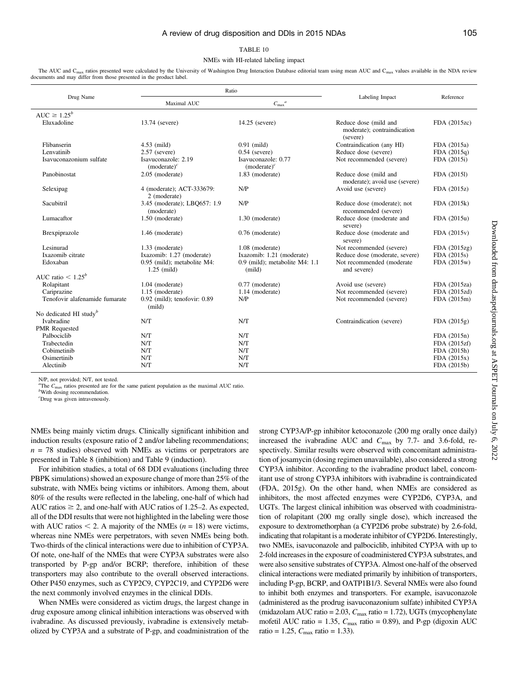#### TABLE 10

#### NMEs with HI-related labeling impact

The AUC and C<sub>max</sub> ratios presented were calculated by the University of Washington Drug Interaction Database editorial team using mean AUC and C<sub>max</sub> values available in the NDA review documents and may differ from those presented in the product label.

|                                    |                                              | Ratio                                      |                                                                  |               |
|------------------------------------|----------------------------------------------|--------------------------------------------|------------------------------------------------------------------|---------------|
| Drug Name                          | Maximal AUC                                  | $C_{\text{max}}^{\qquad a}$                | Labeling Impact                                                  | Reference     |
| AUC $\geq 1.25^b$                  |                                              |                                            |                                                                  |               |
| Eluxadoline                        | 13.74 (severe)                               | 14.25 (severe)                             | Reduce dose (mild and<br>moderate); contraindication<br>(severe) | FDA (2015zc)  |
| Flibanserin                        | $4.53$ (mild)                                | $0.91$ (mild)                              | Contraindication (any HI)                                        | FDA (2015a)   |
| Lenvatinib                         | $2.57$ (severe)                              | $0.54$ (severe)                            | Reduce dose (severe)                                             | FDA $(2015q)$ |
| Isavuconazonium sulfate            | Isavuconazole: 2.19<br>$(moderate)^c$        | Isavuconazole: 0.77<br>$(moderate)^c$      | Not recommended (severe)                                         | FDA (2015i)   |
| Panobinostat                       | 2.05 (moderate)                              | 1.83 (moderate)                            | Reduce dose (mild and<br>moderate); avoid use (severe)           | FDA (2015l)   |
| Selexipag                          | 4 (moderate); ACT-333679:<br>2 (moderate)    | N/P                                        | Avoid use (severe)                                               | FDA (2015z)   |
| Sacubitril                         | 3.45 (moderate); LBO657: 1.9<br>(moderate)   | N/P                                        | Reduce dose (moderate); not<br>recommended (severe)              | FDA (2015k)   |
| Lumacaftor                         | 1.50 (moderate)                              | 1.30 (moderate)                            | Reduce dose (moderate and<br>severe)                             | FDA (2015u)   |
| Brexpiprazole                      | 1.46 (moderate)                              | $0.76$ (moderate)                          | Reduce dose (moderate and<br>severe)                             | FDA (2015v)   |
| Lesinurad                          | 1.33 (moderate)                              | 1.08 (moderate)                            | Not recommended (severe)                                         | FDA (2015zg)  |
| Ixazomib citrate                   | Ixazomib: 1.27 (moderate)                    | Ixazomib: 1.21 (moderate)                  | Reduce dose (moderate, severe)                                   | FDA (2015s)   |
| Edoxaban                           | 0.95 (mild); metabolite M4:<br>$1.25$ (mild) | $0.9$ (mild); metabolite M4: 1.1<br>(mild) | Not recommended (moderate<br>and severe)                         | FDA (2015w)   |
| AUC ratio $\lt 1.25^b$             |                                              |                                            |                                                                  |               |
| Rolapitant                         | $1.04$ (moderate)                            | $0.77$ (moderate)                          | Avoid use (severe)                                               | FDA (2015za)  |
| Cariprazine                        | 1.15 (moderate)                              | 1.14 (moderate)                            | Not recommended (severe)                                         | FDA (2015zd)  |
| Tenofovir alafenamide fumarate     | $0.92$ (mild); tenofovir: $0.89$<br>(mild)   | N/P                                        | Not recommended (severe)                                         | FDA (2015m)   |
| No dedicated HI study <sup>b</sup> |                                              |                                            |                                                                  |               |
| <b>Ivabradine</b>                  | N/T                                          | N/T                                        | Contraindication (severe)                                        | FDA(2015g)    |
| <b>PMR</b> Requested               |                                              |                                            |                                                                  |               |
| Palbociclib                        | N/T                                          | N/T                                        |                                                                  | FDA (2015n)   |
| Trabectedin                        | N/T                                          | N/T                                        |                                                                  | FDA (2015zf)  |
| Cobimetinib                        | N/T                                          | N/T                                        |                                                                  | FDA (2015h)   |
| Osimertinib                        | N/T                                          | N/T                                        |                                                                  | FDA $(2015x)$ |
| Alectinib                          | N/T                                          | N/T                                        |                                                                  | FDA (2015b)   |

N/P, not provided; N/T, not tested.

<sup>a</sup>The  $C_{\text{max}}$  ratios presented are for the same patient population as the maximal AUC ratio.<br><sup>b</sup>With dosing recommendation.

c Drug was given intravenously.

NMEs being mainly victim drugs. Clinically significant inhibition and induction results (exposure ratio of 2 and/or labeling recommendations;  $n = 78$  studies) observed with NMEs as victims or perpetrators are presented in Table 8 (inhibition) and Table 9 (induction).

For inhibition studies, a total of 68 DDI evaluations (including three PBPK simulations) showed an exposure change of more than 25% of the substrate, with NMEs being victims or inhibitors. Among them, about 80% of the results were reflected in the labeling, one-half of which had AUC ratios  $\geq 2$ , and one-half with AUC ratios of 1.25–2. As expected, all of the DDI results that were not highlighted in the labeling were those with AUC ratios  $\leq$  2. A majority of the NMEs ( $n = 18$ ) were victims, whereas nine NMEs were perpetrators, with seven NMEs being both. Two-thirds of the clinical interactions were due to inhibition of CYP3A. Of note, one-half of the NMEs that were CYP3A substrates were also transported by P-gp and/or BCRP; therefore, inhibition of these transporters may also contribute to the overall observed interactions. Other P450 enzymes, such as CYP2C9, CYP2C19, and CYP2D6 were the next commonly involved enzymes in the clinical DDIs.

When NMEs were considered as victim drugs, the largest change in drug exposure among clinical inhibition interactions was observed with ivabradine. As discussed previously, ivabradine is extensively metabolized by CYP3A and a substrate of P-gp, and coadministration of the strong CYP3A/P-gp inhibitor ketoconazole (200 mg orally once daily) increased the ivabradine AUC and  $C_{\text{max}}$  by 7.7- and 3.6-fold, respectively. Similar results were observed with concomitant administration of josamycin (dosing regimen unavailable), also considered a strong CYP3A inhibitor. According to the ivabradine product label, concomitant use of strong CYP3A inhibitors with ivabradine is contraindicated (FDA, 2015g). On the other hand, when NMEs are considered as inhibitors, the most affected enzymes were CYP2D6, CYP3A, and UGTs. The largest clinical inhibition was observed with coadministration of rolapitant (200 mg orally single dose), which increased the exposure to dextromethorphan (a CYP2D6 probe substrate) by 2.6-fold, indicating that rolapitant is a moderate inhibitor of CYP2D6. Interestingly, two NMEs, isavuconazole and palbociclib, inhibited CYP3A with up to 2-fold increases in the exposure of coadministered CYP3A substrates, and were also sensitive substrates of CYP3A. Almost one-half of the observed clinical interactions were mediated primarily by inhibition of transporters, including P-gp, BCRP, and OATP1B1/3. Several NMEs were also found to inhibit both enzymes and transporters. For example, isavuconazole (administered as the prodrug isavuconazonium sulfate) inhibited CYP3A (midazolam AUC ratio = 2.03,  $C_{\text{max}}$  ratio = 1.72), UGTs (mycophenylate mofetil AUC ratio = 1.35,  $C_{\text{max}}$  ratio = 0.89), and P-gp (digoxin AUC ratio = 1.25,  $C_{\text{max}}$  ratio = 1.33).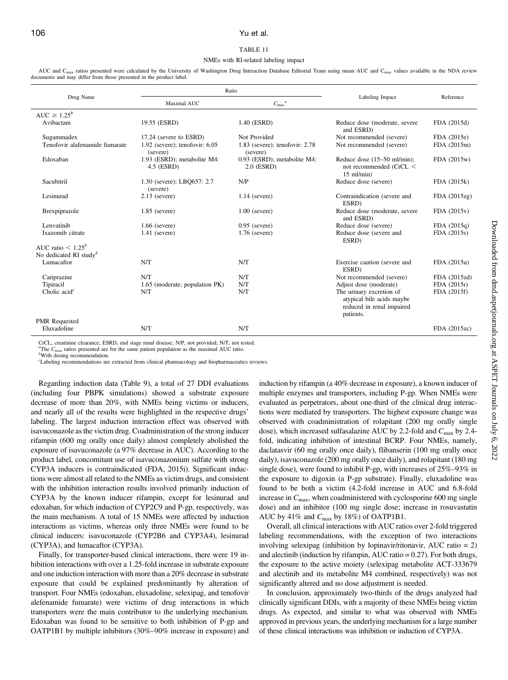#### TABLE 11

#### NMEs with RI-related labeling impact

AUC and C<sub>max</sub> ratios presented were calculated by the University of Washington Drug Interaction Database Editorial Team using mean AUC and C<sub>max</sub> values available in the NDA review documents and may differ from those presented in the product label.

|                                                            |                                                | Ratio                                          |                                                                                                 |              |
|------------------------------------------------------------|------------------------------------------------|------------------------------------------------|-------------------------------------------------------------------------------------------------|--------------|
| Drug Name                                                  | Maximal AUC                                    | ${C_{\max}}^a$                                 | Labeling Impact                                                                                 | Reference    |
| AUC $\geq 1.25^b$                                          |                                                |                                                |                                                                                                 |              |
| Avibactam                                                  | 19.55 (ESRD)                                   | 1.40 (ESRD)                                    | Reduce dose (moderate, severe<br>and ESRD)                                                      | FDA (2015d)  |
| Sugammadex                                                 | 17.24 (severe to ESRD)                         | Not Provided                                   | Not recommended (severe)                                                                        | FDA (2015e)  |
| Tenofovir alafenamide fumarate                             | $1.92$ (severe); tenofovir: $6.05$<br>(severe) | $1.83$ (severe); tenofovir: $2.78$<br>(severe) | Not recommended (severe)                                                                        | FDA (2015m)  |
| Edoxaban                                                   | 1.93 (ESRD); metabolite M4:<br>4.5 (ESRD)      | 0.93 (ESRD); metabolite M4:<br>$2.0$ (ESRD)    | Reduce dose (15–50 ml/min);<br>not recommended (CrCL <<br>$15$ ml/min)                          | FDA (2015w)  |
| Sacubitril                                                 | 1.30 (severe); LBQ657: 2.7<br>(severe)         | N/P                                            | Reduce dose (severe)                                                                            | FDA (2015k)  |
| Lesinurad                                                  | $2.13$ (severe)                                | $1.14$ (severe)                                | Contraindication (severe and<br>ESRD)                                                           | FDA (2015zg) |
| Brexpiprazole                                              | $1.85$ (severe)                                | $1.00$ (severe)                                | Reduce dose (moderate, severe<br>and ESRD)                                                      | FDA (2015v)  |
| Lenvatinib                                                 | $1.66$ (severe)                                | $0.95$ (severe)                                | Reduce dose (severe)                                                                            | FDA (2015q)  |
| Ixazomib citrate                                           | $1.41$ (severe)                                | $1.76$ (severe)                                | Reduce dose (severe and<br>ESRD)                                                                | FDA (2015s)  |
| AUC ratio $< 1.25^b$<br>No dedicated RI study <sup>b</sup> |                                                |                                                |                                                                                                 |              |
| Lumacaftor                                                 | N/T                                            | N/T                                            | Exercise caution (severe and<br>ESRD)                                                           | FDA (2015u)  |
| Cariprazine                                                | N/T                                            | N/T                                            | Not recommended (severe)                                                                        | FDA (2015zd) |
| Tipiracil                                                  | 1.65 (moderate; population PK)                 | N/T                                            | Adjust dose (moderate)                                                                          | FDA (2015r)  |
| Cholic $acid^c$                                            | N/T                                            | N/T                                            | The urinary excretion of<br>atypical bile acids maybe<br>reduced in renal impaired<br>patients. | FDA (2015f)  |
| <b>PMR</b> Requested                                       |                                                |                                                |                                                                                                 |              |
| Eluxadoline                                                | N/T                                            | N/T                                            |                                                                                                 | FDA (2015zc) |

CrCL, creatinine clearance; ESRD, end stage renal disease; N/P, not provided; N/T, not tested.

<sup>a</sup>The C<sub>max</sub> ratios presented are for the same patient population as the maximal AUC ratio.  $b_{\text{With}}$  dosing recommendation

With dosing recommendation.

c Labeling recommendations are extracted from clinical pharmacology and biopharmaceutics reviews.

Regarding induction data (Table 9), a total of 27 DDI evaluations (including four PBPK simulations) showed a substrate exposure decrease of more than 20%, with NMEs being victims or inducers, and nearly all of the results were highlighted in the respective drugs' labeling. The largest induction interaction effect was observed with isavuconazole as the victim drug. Coadministration of the strong inducer rifampin (600 mg orally once daily) almost completely abolished the exposure of isavuconazole (a 97% decrease in AUC). According to the product label, concomitant use of isavuconazonium sulfate with strong CYP3A inducers is contraindicated (FDA, 2015i). Significant inductions were almost all related to the NMEs as victim drugs, and consistent with the inhibition interaction results involved primarily induction of CYP3A by the known inducer rifampin, except for lesinurad and edoxaban, for which induction of CYP2C9 and P-gp, respectively, was the main mechanism. A total of 15 NMEs were affected by induction interactions as victims, whereas only three NMEs were found to be clinical inducers: isavuconazole (CYP2B6 and CYP3A4), lesinurad (CYP3A), and lumacaftor (CYP3A).

Finally, for transporter-based clinical interactions, there were 19 inhibition interactions with over a 1.25-fold increase in substrate exposure and one induction interaction with more than a 20% decrease in substrate exposure that could be explained predominantly by alteration of transport. Four NMEs (edoxaban, eluxadoline, selexipag, and tenofovir alefenamide fumarate) were victims of drug interactions in which transporters were the main contributor to the underlying mechanism. Edoxaban was found to be sensitive to both inhibition of P-gp and OATP1B1 by multiple inhibitors (30%–90% increase in exposure) and induction by rifampin (a 40% decrease in exposure), a known inducer of multiple enzymes and transporters, including P-gp. When NMEs were evaluated as perpetrators, about one-third of the clinical drug interactions were mediated by transporters. The highest exposure change was observed with coadministration of rolapitant (200 mg orally single dose), which increased sulfasalazine AUC by 2.2-fold and  $C_{\text{max}}$  by 2.4fold, indicating inhibition of intestinal BCRP. Four NMEs, namely, daclatasvir (60 mg orally once daily), flibanserin (100 mg orally once daily), isavuconazole (200 mg orally once daily), and rolapitant (180 mg single dose), were found to inhibit P-gp, with increases of 25%–93% in the exposure to digoxin (a P-gp substrate). Finally, eluxadoline was found to be both a victim (4.2-fold increase in AUC and 6.8-fold increase in  $C_{\text{max}}$ , when coadministered with cyclosporine 600 mg single dose) and an inhibitor (100 mg single dose; increase in rosuvastatin AUC by 41% and  $C_{\text{max}}$  by 18%) of OATP1B1.

Overall, all clinical interactions with AUC ratios over 2-fold triggered labeling recommendations, with the exception of two interactions involving selexipag (inhibition by lopinavir/ritonavir, AUC ratio = 2) and alectinib (induction by rifampin, AUC ratio  $= 0.27$ ). For both drugs, the exposure to the active moiety (selexipag metabolite ACT-333679 and alectinib and its metabolite M4 combined, respectively) was not significantly altered and no dose adjustment is needed.

In conclusion, approximately two-thirds of the drugs analyzed had clinically significant DDIs, with a majority of these NMEs being victim drugs. As expected, and similar to what was observed with NMEs approved in previous years, the underlying mechanism for a large number of these clinical interactions was inhibition or induction of CYP3A.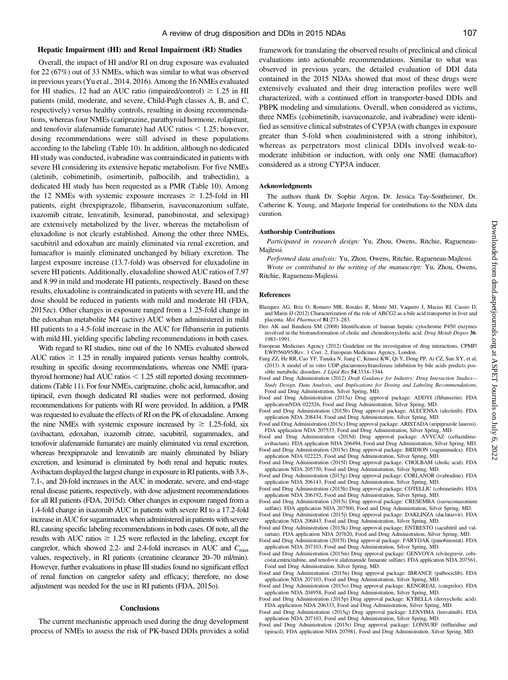#### Hepatic Impairment (HI) and Renal Impairment (RI) Studies

Overall, the impact of HI and/or RI on drug exposure was evaluated for 22 (67%) out of 33 NMEs, which was similar to what was observed in previous years (Yu et al., 2014, 2016). Among the 16 NMEs evaluated for HI studies, 12 had an AUC ratio (impaired/control)  $\geq 1.25$  in HI patients (mild, moderate, and severe, Child-Pugh classes A, B, and C, respectively) versus healthy controls, resulting in dosing recommendations, whereas four NMEs (cariprazine, parathyroid hormone, rolapitant, and tenofovir alafenamide fumarate) had AUC ratios  $\leq 1.25$ ; however, dosing recommendations were still advised in these populations according to the labeling (Table 10). In addition, although no dedicated HI study was conducted, ivabradine was contraindicated in patients with severe HI considering its extensive hepatic metabolism. For five NMEs (aletinib, cobimetinib, osimertinib, palbocilib, and trabectidin), a dedicated HI study has been requested as a PMR (Table 10). Among the 12 NMEs with systemic exposure increases  $\geq$  1.25-fold in HI patients, eight (brexpiprazole, flibanserin, isavuconazonium sulfate, ixazomib citrate, lenvatinib, lesinurad, panobinostat, and selexipag) are extensively metabolized by the liver, whereas the metabolism of eluxadoline is not clearly established. Among the other three NMEs, sacubitril and edoxaban are mainly eliminated via renal excretion, and lumacaftor is mainly eliminated unchanged by biliary excretion. The largest exposure increase (13.7-fold) was observed for eluxadoline in severe HI patients. Additionally, eluxadoline showed AUC ratios of 7.97 and 8.99 in mild and moderate HI patients, respectively. Based on these results, eluxadoline is contraindicated in patients with severe HI, and the dose should be reduced in patients with mild and moderate HI (FDA, 2015zc). Other changes in exposure ranged from a 1.25-fold change in the edoxaban metabolite M4 (active) AUC when administered in mild HI patients to a 4.5-fold increase in the AUC for flibanserin in patients with mild HI, yielding specific labeling recommendations in both cases.

With regard to RI studies, nine out of the 16 NMEs evaluated showed AUC ratios  $\geq$  1.25 in renally impaired patients versus healthy controls, resulting in specific dosing recommendations, whereas one NME (parathyroid hormone) had AUC ratios  $< 1.25$  still reported dosing recommendations (Table 11). For four NMEs, cariprazine, cholic acid, lumacaftor, and tipiracil, even though dedicated RI studies were not performed, dosing recommendations for patients with RI were provided. In addition, a PMR was requested to evaluate the effects of RI on the PK of eluxadaline. Among the nine NMEs with systemic exposure increased by  $\geq 1.25$ -fold, six (avibactam, edoxaban, ixazomib citrate, sacubitril, sugammadex, and tenofovir alafenamide fumarate) are mainly eliminated via renal excretion, whereas brexpiprazole and lenvatinib are mainly eliminated by biliary excretion, and lesinurad is eliminated by both renal and hepatic routes. Avibactam displayed the largest change in exposure in RI patients, with 3.8-, 7.1-, and 20-fold increases in the AUC in moderate, severe, and end-stage renal disease patients, respectively, with dose adjustment recommendations for all RI patients (FDA, 2015d). Other changes in exposure ranged from a 1.4-fold change in ixazomib AUC in patients with severe RI to a 17.2-fold increase in AUC for sugammadex when administered in patients with severe RI, causing specific labeling recommendations in both cases. Of note, all the results with AUC ratios  $\geq 1.25$  were reflected in the labeling, except for cangrelor, which showed 2.2- and 2.4-fold increases in AUC and  $C_{\text{max}}$ values, respectively, in RI patients (creatinine clearance 20–70 ml/min). However, further evaluations in phase III studies found no significant effect of renal function on cangrelor safety and efficacy; therefore, no dose adjustment was needed for the use in RI patients (FDA, 2015o).

#### **Conclusions**

The current mechanistic approach used during the drug development process of NMEs to assess the risk of PK-based DDIs provides a solid

framework for translating the observed results of preclinical and clinical evaluations into actionable recommendations. Similar to what was observed in previous years, the detailed evaluation of DDI data contained in the 2015 NDAs showed that most of these drugs were extensively evaluated and their drug interaction profiles were well characterized, with a continued effort in transporter-based DDIs and PBPK modeling and simulations. Overall, when considered as victims, three NMEs (cobimetinib, isavuconazole, and ivabradine) were identified as sensitive clinical substrates of CYP3A (with changes in exposure greater than 5-fold when coadministered with a strong inhibitor), whereas as perpetrators most clinical DDIs involved weak-tomoderate inhibition or induction, with only one NME (lumacaftor) considered as a strong CYP3A inducer.

#### Acknowledgments

The authors thank Dr. Sophie Argon, Dr. Jessica Tay-Sontheimer, Dr. Catherine K. Yeung, and Marjorie Imperial for contributions to the NDA data curation.

#### Authorship Contributions

Participated in research design: Yu, Zhou, Owens, Ritchie, Ragueneau-Majlessi.

Performed data analysis: Yu, Zhou, Owens, Ritchie, Ragueneau-Majlessi. Wrote or contributed to the writing of the manuscript: Yu, Zhou, Owens, Ritchie, Ragueneau-Majlessi.

#### References

- Blazquez AG, Briz O, Romero MR, Rosales R, Monte MJ, Vaquero J, Macias RI, Cassio D, and Marin JJ (2012) Characterization of the role of ABCG2 as a bile acid transporter in liver and placenta. Mol Pharmacol 81:273–283.
- Deo AK and Bandiera SM (2008) Identification of human hepatic cytochrome P450 enzymes involved in the biotransformation of cholic and chenodeoxycholic acid. Drug Metab Dispos 36: 1983–1991.
- European Medicines Agency (2012) Guideline on the investigation of drug interactions, CPMP/ EWP/560/95/Rev. 1 Corr. 2, European Medicines Agency, London.
- Fang ZZ, He RR, Cao YF, Tanaka N, Jiang C, Krausz KW, Qi Y, Dong PP, Ai CZ, Sun XY, et al. (2013) A model of in vitro UDP-glucuronosyltransferase inhibition by bile acids predicts possible metabolic disorders. J Lipid Res 54:3334–3344.
- Food and Drug Administration (2012) Draft Guidance for Industry: Drug Interaction Studies-Study Design, Data Analysis, and Implications for Dosing and Labeling Recommendations, Food and Drug Administration, Silver Spring, MD.
- Food and Drug Administration (2015a) Drug approval package: ADDYI (flibanserin). FDA applicationNDA 022526, Food and Drug Administration, Silver Spring, MD.
- Food and Drug Administration (2015b) Drug approval package: ALECENSA (alectinib). FDA application NDA 208434, Food and Drug Administration, Silver Spring, MD.
- Food and Drug Administration (2015c) Drug approval package: ARISTADA (aripiprazole lauroxi). FDA application NDA 207533, Food and Drug Administration, Silver Spring, MD.

Food and Drug Administration (2015d) Drug approval package: AVYCAZ (ceftazidimeavibactam). FDA application NDA 206494, Food and Drug Administration, Silver Spring, MD. Food and Drug Administration (2015e) Drug approval package: BRIDION (sugammadex). FDA

- application NDA 022225, Food and Drug Administration, Silver Spring, MD. Food and Drug Administration (2015f) Drug approval package: CHOLBAM (cholic acid). FDA
- application NDA 205750, Food and Drug Administration, Silver Spring, MD. Food and Drug Administration (2015g) Drug approval package: CORLANOR (ivabradine). FDA
- application NDA 206143, Food and Drug Administration, Silver Spring, MD. Food and Drug Administration (2015h) Drug approval package: COTELLIC (cobimetinib). FDA
- application NDA 206192, Food and Drug Administration, Silver Spring, MD. Food and Drug Administration (2015i) Drug approval package: CRESEMBA (isavuconazonium
- sulfate). FDA application NDA 207500, Food and Drug Administration, Silver Spring, MD. Food and Drug Administration (2015j) Drug approval package: DAKLINZA (daclatasvir). FDA application NDA 206843, Food and Drug Administration, Silver Spring, MD.
- Food and Drug Administration (2015k) Drug approval package: ENTRESTO (sacubitril and valsartan). FDA application NDA 207620, Food and Drug Administration, Silver Spring, MD.
- Food and Drug Administration (2015l) Drug approval package: FARYDAK (panobinostat). FDA application NDA 207103, Food and Drug Administration, Silver Spring, MD.
- Food and Drug Administration (2015m) Drug approval package: GENVOYA (elvitegravir, cobicistat,emtricitabine, and tenofovir alafenamide fumarate sulfate). FDA application NDA 207561, Food and Drug Administration, Silver Spring, MD.
- Food and Drug Administration (2015n) Drug approval package: IBRANCE (palbociclib). FDA application NDA 207103, Food and Drug Administration, Silver Spring, MD.
- Food and Drug Administration (2015o) Drug approval package: KENGREAL (cangrelor). FDA application NDA 204958, Food and Drug Administration, Silver Spring, MD.
- Food and Drug Administration (2015p) Drug approval package: KYBELLA (deoxycholic acid). FDA application NDA 206333, Food and Drug Administration, Silver Spring, MD.
- Food and Drug Administration (2015q) Drug approval package: LENVIMA (lenvatinib). FDA application NDA 207103, Food and Drug Administration, Silver Spring, MD.
- Food and Drug Administration (2015r) Drug approval package: LONSURF (trifluridine and tipiracil). FDA application NDA 207981, Food and Drug Administration, Silver Spring, MD.